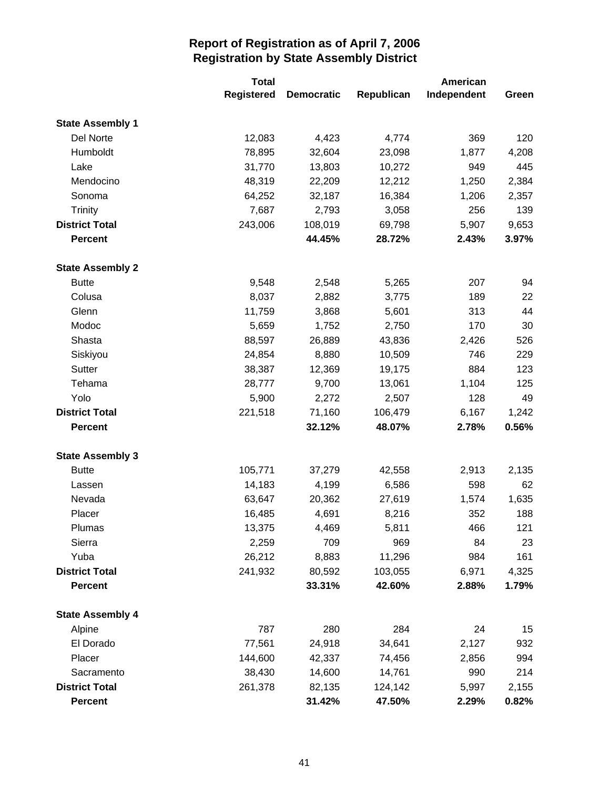|                         | <b>Total</b>      |                   |            | American    |       |
|-------------------------|-------------------|-------------------|------------|-------------|-------|
|                         | <b>Registered</b> | <b>Democratic</b> | Republican | Independent | Green |
| <b>State Assembly 1</b> |                   |                   |            |             |       |
| <b>Del Norte</b>        | 12,083            | 4,423             | 4,774      | 369         | 120   |
| Humboldt                | 78,895            | 32,604            | 23,098     | 1,877       | 4,208 |
| Lake                    | 31,770            | 13,803            | 10,272     | 949         | 445   |
| Mendocino               | 48,319            | 22,209            | 12,212     | 1,250       | 2,384 |
| Sonoma                  | 64,252            | 32,187            | 16,384     | 1,206       | 2,357 |
| <b>Trinity</b>          | 7,687             | 2,793             | 3,058      | 256         | 139   |
| <b>District Total</b>   | 243,006           | 108,019           | 69,798     | 5,907       | 9,653 |
| <b>Percent</b>          |                   | 44.45%            | 28.72%     | 2.43%       | 3.97% |
| <b>State Assembly 2</b> |                   |                   |            |             |       |
| <b>Butte</b>            | 9,548             | 2,548             | 5,265      | 207         | 94    |
| Colusa                  | 8,037             | 2,882             | 3,775      | 189         | 22    |
| Glenn                   | 11,759            | 3,868             | 5,601      | 313         | 44    |
| Modoc                   | 5,659             | 1,752             | 2,750      | 170         | 30    |
| Shasta                  | 88,597            | 26,889            | 43,836     | 2,426       | 526   |
| Siskiyou                | 24,854            | 8,880             | 10,509     | 746         | 229   |
| <b>Sutter</b>           | 38,387            | 12,369            | 19,175     | 884         | 123   |
| Tehama                  | 28,777            | 9,700             | 13,061     | 1,104       | 125   |
| Yolo                    | 5,900             | 2,272             | 2,507      | 128         | 49    |
| <b>District Total</b>   | 221,518           | 71,160            | 106,479    | 6,167       | 1,242 |
| <b>Percent</b>          |                   | 32.12%            | 48.07%     | 2.78%       | 0.56% |
| <b>State Assembly 3</b> |                   |                   |            |             |       |
| <b>Butte</b>            | 105,771           | 37,279            | 42,558     | 2,913       | 2,135 |
| Lassen                  | 14,183            | 4,199             | 6,586      | 598         | 62    |
| Nevada                  | 63,647            | 20,362            | 27,619     | 1,574       | 1,635 |
| Placer                  | 16,485            | 4,691             | 8,216      | 352         | 188   |
| Plumas                  | 13,375            | 4,469             | 5,811      | 466         | 121   |
| Sierra                  | 2,259             | 709               | 969        | 84          | 23    |
| Yuba                    | 26,212            | 8,883             | 11,296     | 984         | 161   |
| <b>District Total</b>   | 241,932           | 80,592            | 103,055    | 6,971       | 4,325 |
| <b>Percent</b>          |                   | 33.31%            | 42.60%     | 2.88%       | 1.79% |
| <b>State Assembly 4</b> |                   |                   |            |             |       |
| Alpine                  | 787               | 280               | 284        | 24          | 15    |
| El Dorado               | 77,561            | 24,918            | 34,641     | 2,127       | 932   |
| Placer                  | 144,600           | 42,337            | 74,456     | 2,856       | 994   |
| Sacramento              | 38,430            | 14,600            | 14,761     | 990         | 214   |
| <b>District Total</b>   | 261,378           | 82,135            | 124,142    | 5,997       | 2,155 |
| <b>Percent</b>          |                   | 31.42%            | 47.50%     | 2.29%       | 0.82% |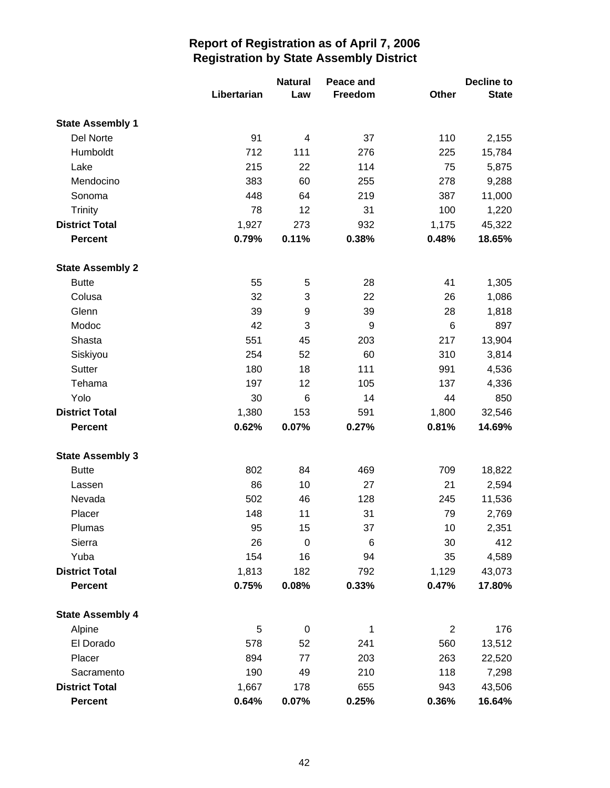|                         | Libertarian | <b>Natural</b><br>Law | Peace and<br>Freedom | Other          | <b>Decline to</b><br><b>State</b> |
|-------------------------|-------------|-----------------------|----------------------|----------------|-----------------------------------|
| <b>State Assembly 1</b> |             |                       |                      |                |                                   |
| Del Norte               | 91          | 4                     | 37                   | 110            | 2,155                             |
| Humboldt                | 712         | 111                   | 276                  | 225            | 15,784                            |
| Lake                    | 215         | 22                    | 114                  | 75             | 5,875                             |
| Mendocino               | 383         | 60                    | 255                  | 278            | 9,288                             |
| Sonoma                  | 448         | 64                    | 219                  | 387            | 11,000                            |
| <b>Trinity</b>          | 78          | 12                    | 31                   | 100            | 1,220                             |
| <b>District Total</b>   | 1,927       | 273                   | 932                  | 1,175          | 45,322                            |
| <b>Percent</b>          | 0.79%       | 0.11%                 | 0.38%                | 0.48%          | 18.65%                            |
| <b>State Assembly 2</b> |             |                       |                      |                |                                   |
| <b>Butte</b>            | 55          | 5                     | 28                   | 41             | 1,305                             |
| Colusa                  | 32          | 3                     | 22                   | 26             | 1,086                             |
| Glenn                   | 39          | 9                     | 39                   | 28             | 1,818                             |
| Modoc                   | 42          | 3                     | 9                    | 6              | 897                               |
| Shasta                  | 551         | 45                    | 203                  | 217            | 13,904                            |
| Siskiyou                | 254         | 52                    | 60                   | 310            | 3,814                             |
| Sutter                  | 180         | 18                    | 111                  | 991            | 4,536                             |
| Tehama                  | 197         | 12                    | 105                  | 137            | 4,336                             |
| Yolo                    | 30          | 6                     | 14                   | 44             | 850                               |
| <b>District Total</b>   | 1,380       | 153                   | 591                  | 1,800          | 32,546                            |
| <b>Percent</b>          | 0.62%       | 0.07%                 | 0.27%                | 0.81%          | 14.69%                            |
| <b>State Assembly 3</b> |             |                       |                      |                |                                   |
| <b>Butte</b>            | 802         | 84                    | 469                  | 709            | 18,822                            |
| Lassen                  | 86          | 10                    | 27                   | 21             | 2,594                             |
| Nevada                  | 502         | 46                    | 128                  | 245            | 11,536                            |
| Placer                  | 148         | 11                    | 31                   | 79             | 2,769                             |
| Plumas                  | 95          | 15                    | 37                   | 10             | 2,351                             |
| Sierra                  | 26          | $\boldsymbol{0}$      | 6                    | 30             | 412                               |
| Yuba                    | 154         | 16                    | 94                   | 35             | 4,589                             |
| <b>District Total</b>   | 1,813       | 182                   | 792                  | 1,129          | 43,073                            |
| Percent                 | 0.75%       | 0.08%                 | 0.33%                | 0.47%          | 17.80%                            |
| <b>State Assembly 4</b> |             |                       |                      |                |                                   |
| Alpine                  | 5           | $\pmb{0}$             | 1                    | $\overline{2}$ | 176                               |
| El Dorado               | 578         | 52                    | 241                  | 560            | 13,512                            |
| Placer                  | 894         | 77                    | 203                  | 263            | 22,520                            |
| Sacramento              | 190         | 49                    | 210                  | 118            | 7,298                             |
| <b>District Total</b>   | 1,667       | 178                   | 655                  | 943            | 43,506                            |
| <b>Percent</b>          | 0.64%       | 0.07%                 | 0.25%                | 0.36%          | 16.64%                            |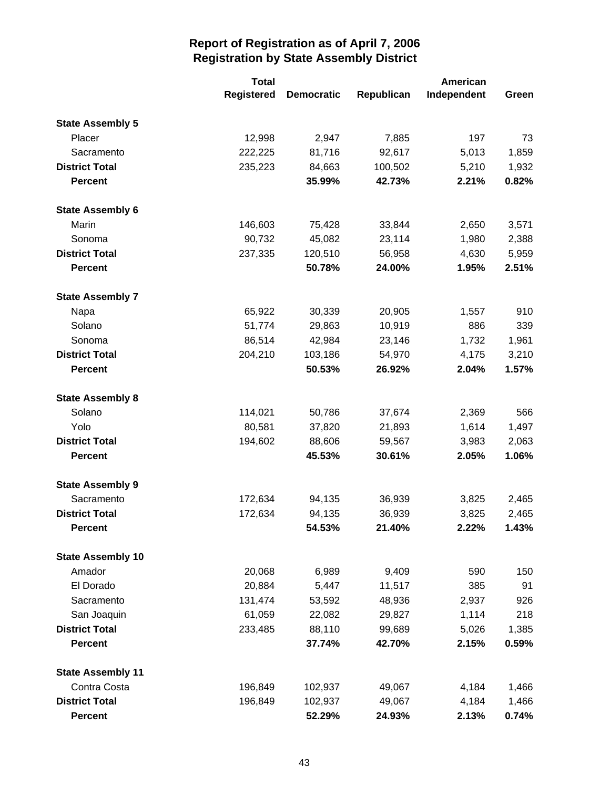|                          | <b>Total</b>      |                   | American   |             |       |
|--------------------------|-------------------|-------------------|------------|-------------|-------|
|                          | <b>Registered</b> | <b>Democratic</b> | Republican | Independent | Green |
| <b>State Assembly 5</b>  |                   |                   |            |             |       |
| Placer                   | 12,998            | 2,947             | 7,885      | 197         | 73    |
| Sacramento               | 222,225           | 81,716            | 92,617     | 5,013       | 1,859 |
| <b>District Total</b>    | 235,223           | 84,663            | 100,502    | 5,210       | 1,932 |
| <b>Percent</b>           |                   | 35.99%            | 42.73%     | 2.21%       | 0.82% |
| <b>State Assembly 6</b>  |                   |                   |            |             |       |
| Marin                    | 146,603           | 75,428            | 33,844     | 2,650       | 3,571 |
| Sonoma                   | 90,732            | 45,082            | 23,114     | 1,980       | 2,388 |
| <b>District Total</b>    | 237,335           | 120,510           | 56,958     | 4,630       | 5,959 |
| <b>Percent</b>           |                   | 50.78%            | 24.00%     | 1.95%       | 2.51% |
| <b>State Assembly 7</b>  |                   |                   |            |             |       |
| Napa                     | 65,922            | 30,339            | 20,905     | 1,557       | 910   |
| Solano                   | 51,774            | 29,863            | 10,919     | 886         | 339   |
| Sonoma                   | 86,514            | 42,984            | 23,146     | 1,732       | 1,961 |
| <b>District Total</b>    | 204,210           | 103,186           | 54,970     | 4,175       | 3,210 |
| <b>Percent</b>           |                   | 50.53%            | 26.92%     | 2.04%       | 1.57% |
| <b>State Assembly 8</b>  |                   |                   |            |             |       |
| Solano                   | 114,021           | 50,786            | 37,674     | 2,369       | 566   |
| Yolo                     | 80,581            | 37,820            | 21,893     | 1,614       | 1,497 |
| <b>District Total</b>    | 194,602           | 88,606            | 59,567     | 3,983       | 2,063 |
| <b>Percent</b>           |                   | 45.53%            | 30.61%     | 2.05%       | 1.06% |
| <b>State Assembly 9</b>  |                   |                   |            |             |       |
| Sacramento               | 172,634           | 94,135            | 36,939     | 3,825       | 2,465 |
| <b>District Total</b>    | 172,634           | 94,135            | 36,939     | 3,825       | 2,465 |
| <b>Percent</b>           |                   | 54.53%            | 21.40%     | 2.22%       | 1.43% |
| <b>State Assembly 10</b> |                   |                   |            |             |       |
| Amador                   | 20,068            | 6,989             | 9,409      | 590         | 150   |
| El Dorado                | 20,884            | 5,447             | 11,517     | 385         | 91    |
| Sacramento               | 131,474           | 53,592            | 48,936     | 2,937       | 926   |
| San Joaquin              | 61,059            | 22,082            | 29,827     | 1,114       | 218   |
| <b>District Total</b>    | 233,485           | 88,110            | 99,689     | 5,026       | 1,385 |
| <b>Percent</b>           |                   | 37.74%            | 42.70%     | 2.15%       | 0.59% |
| <b>State Assembly 11</b> |                   |                   |            |             |       |
| Contra Costa             | 196,849           | 102,937           | 49,067     | 4,184       | 1,466 |
| <b>District Total</b>    | 196,849           | 102,937           | 49,067     | 4,184       | 1,466 |
| <b>Percent</b>           |                   | 52.29%            | 24.93%     | 2.13%       | 0.74% |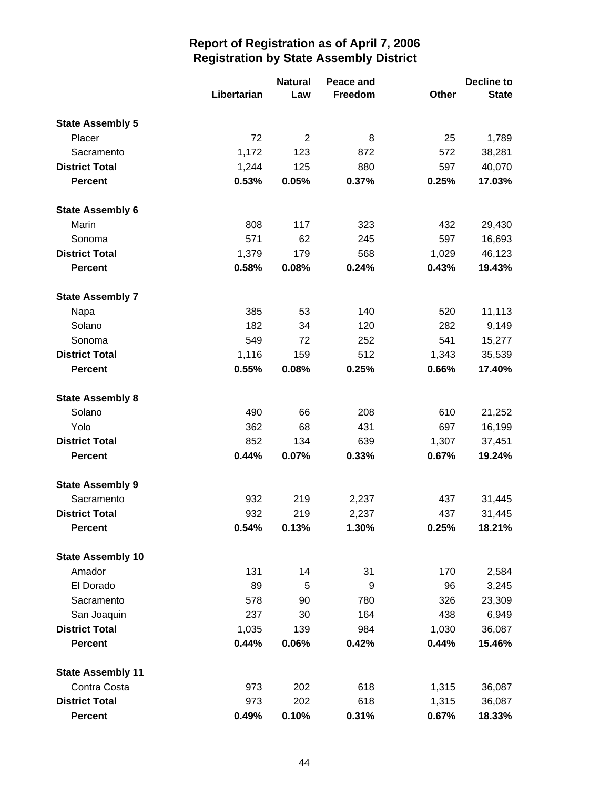|                          |             | <b>Natural</b> | Peace and |       | Decline to   |
|--------------------------|-------------|----------------|-----------|-------|--------------|
|                          | Libertarian | Law            | Freedom   | Other | <b>State</b> |
| <b>State Assembly 5</b>  |             |                |           |       |              |
| Placer                   | 72          | $\overline{2}$ | 8         | 25    | 1,789        |
| Sacramento               | 1,172       | 123            | 872       | 572   | 38,281       |
| <b>District Total</b>    | 1,244       | 125            | 880       | 597   | 40,070       |
| <b>Percent</b>           | 0.53%       | 0.05%          | 0.37%     | 0.25% | 17.03%       |
| <b>State Assembly 6</b>  |             |                |           |       |              |
| Marin                    | 808         | 117            | 323       | 432   | 29,430       |
| Sonoma                   | 571         | 62             | 245       | 597   | 16,693       |
| <b>District Total</b>    | 1,379       | 179            | 568       | 1,029 | 46,123       |
| <b>Percent</b>           | 0.58%       | 0.08%          | 0.24%     | 0.43% | 19.43%       |
| <b>State Assembly 7</b>  |             |                |           |       |              |
| Napa                     | 385         | 53             | 140       | 520   | 11,113       |
| Solano                   | 182         | 34             | 120       | 282   | 9,149        |
| Sonoma                   | 549         | 72             | 252       | 541   | 15,277       |
| <b>District Total</b>    | 1,116       | 159            | 512       | 1,343 | 35,539       |
| <b>Percent</b>           | 0.55%       | 0.08%          | 0.25%     | 0.66% | 17.40%       |
| <b>State Assembly 8</b>  |             |                |           |       |              |
| Solano                   | 490         | 66             | 208       | 610   | 21,252       |
| Yolo                     | 362         | 68             | 431       | 697   | 16,199       |
| <b>District Total</b>    | 852         | 134            | 639       | 1,307 | 37,451       |
| <b>Percent</b>           | 0.44%       | 0.07%          | 0.33%     | 0.67% | 19.24%       |
| <b>State Assembly 9</b>  |             |                |           |       |              |
| Sacramento               | 932         | 219            | 2,237     | 437   | 31,445       |
| <b>District Total</b>    | 932         | 219            | 2,237     | 437   | 31,445       |
| <b>Percent</b>           | 0.54%       | 0.13%          | 1.30%     | 0.25% | 18.21%       |
| <b>State Assembly 10</b> |             |                |           |       |              |
| Amador                   | 131         | 14             | 31        | 170   | 2,584        |
| El Dorado                | 89          | 5              | 9         | 96    | 3,245        |
| Sacramento               | 578         | 90             | 780       | 326   | 23,309       |
| San Joaquin              | 237         | 30             | 164       | 438   | 6,949        |
| <b>District Total</b>    | 1,035       | 139            | 984       | 1,030 | 36,087       |
| <b>Percent</b>           | 0.44%       | 0.06%          | 0.42%     | 0.44% | 15.46%       |
| <b>State Assembly 11</b> |             |                |           |       |              |
| Contra Costa             | 973         | 202            | 618       | 1,315 | 36,087       |
| <b>District Total</b>    | 973         | 202            | 618       | 1,315 | 36,087       |
| <b>Percent</b>           | 0.49%       | 0.10%          | 0.31%     | 0.67% | 18.33%       |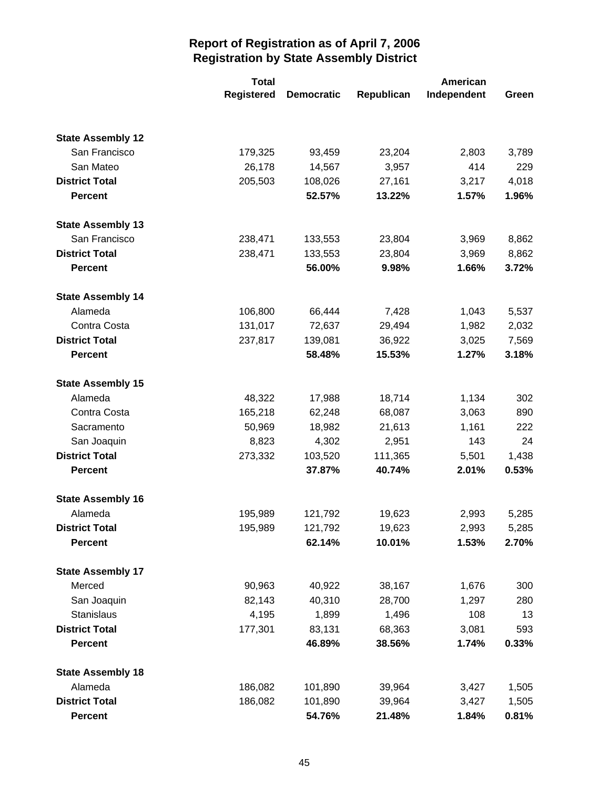|                          | <b>Total</b>      |                   | <b>American</b> |             |       |
|--------------------------|-------------------|-------------------|-----------------|-------------|-------|
|                          | <b>Registered</b> | <b>Democratic</b> | Republican      | Independent | Green |
|                          |                   |                   |                 |             |       |
| <b>State Assembly 12</b> |                   |                   |                 |             |       |
| San Francisco            | 179,325           | 93,459            | 23,204          | 2,803       | 3,789 |
| San Mateo                | 26,178            | 14,567            | 3,957           | 414         | 229   |
| <b>District Total</b>    | 205,503           | 108,026           | 27,161          | 3,217       | 4,018 |
| <b>Percent</b>           |                   | 52.57%            | 13.22%          | 1.57%       | 1.96% |
| <b>State Assembly 13</b> |                   |                   |                 |             |       |
| San Francisco            | 238,471           | 133,553           | 23,804          | 3,969       | 8,862 |
| <b>District Total</b>    | 238,471           | 133,553           | 23,804          | 3,969       | 8,862 |
| <b>Percent</b>           |                   | 56.00%            | 9.98%           | 1.66%       | 3.72% |
| <b>State Assembly 14</b> |                   |                   |                 |             |       |
| Alameda                  | 106,800           | 66,444            | 7,428           | 1,043       | 5,537 |
| Contra Costa             | 131,017           | 72,637            | 29,494          | 1,982       | 2,032 |
| <b>District Total</b>    | 237,817           | 139,081           | 36,922          | 3,025       | 7,569 |
| <b>Percent</b>           |                   | 58.48%            | 15.53%          | 1.27%       | 3.18% |
| <b>State Assembly 15</b> |                   |                   |                 |             |       |
| Alameda                  | 48,322            | 17,988            | 18,714          | 1,134       | 302   |
| Contra Costa             | 165,218           | 62,248            | 68,087          | 3,063       | 890   |
| Sacramento               | 50,969            | 18,982            | 21,613          | 1,161       | 222   |
| San Joaquin              | 8,823             | 4,302             | 2,951           | 143         | 24    |
| <b>District Total</b>    | 273,332           | 103,520           | 111,365         | 5,501       | 1,438 |
| <b>Percent</b>           |                   | 37.87%            | 40.74%          | 2.01%       | 0.53% |
| <b>State Assembly 16</b> |                   |                   |                 |             |       |
| Alameda                  | 195,989           | 121,792           | 19,623          | 2,993       | 5,285 |
| <b>District Total</b>    | 195,989           | 121,792           | 19,623          | 2,993       | 5,285 |
| <b>Percent</b>           |                   | 62.14%            | 10.01%          | 1.53%       | 2.70% |
| <b>State Assembly 17</b> |                   |                   |                 |             |       |
| Merced                   | 90,963            | 40,922            | 38,167          | 1,676       | 300   |
| San Joaquin              | 82,143            | 40,310            | 28,700          | 1,297       | 280   |
| Stanislaus               | 4,195             | 1,899             | 1,496           | 108         | 13    |
| <b>District Total</b>    | 177,301           | 83,131            | 68,363          | 3,081       | 593   |
| <b>Percent</b>           |                   | 46.89%            | 38.56%          | 1.74%       | 0.33% |
| <b>State Assembly 18</b> |                   |                   |                 |             |       |
| Alameda                  | 186,082           | 101,890           | 39,964          | 3,427       | 1,505 |
| <b>District Total</b>    | 186,082           | 101,890           | 39,964          | 3,427       | 1,505 |
| <b>Percent</b>           |                   | 54.76%            | 21.48%          | 1.84%       | 0.81% |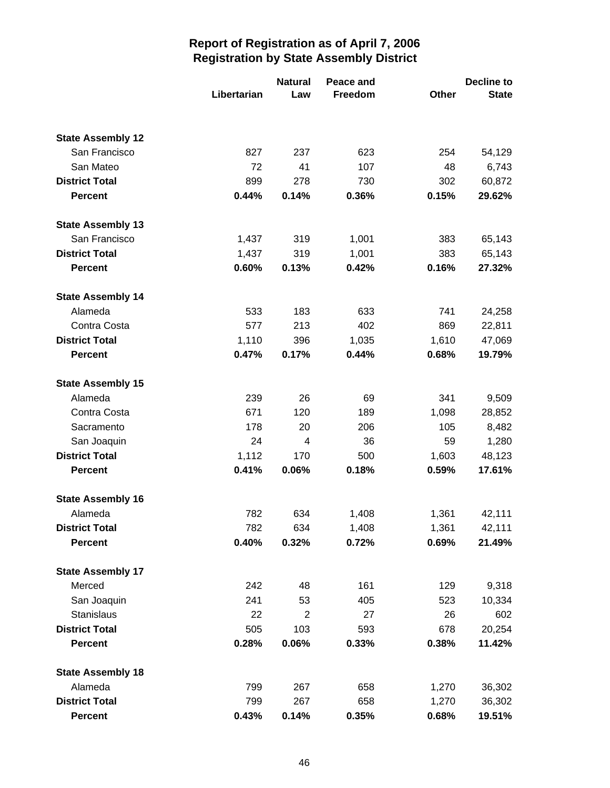|                          |             | <b>Natural</b><br>Peace and |         |              | <b>Decline to</b> |
|--------------------------|-------------|-----------------------------|---------|--------------|-------------------|
|                          | Libertarian | Law                         | Freedom | <b>Other</b> | <b>State</b>      |
|                          |             |                             |         |              |                   |
| <b>State Assembly 12</b> |             |                             |         |              |                   |
| San Francisco            | 827         | 237                         | 623     | 254          | 54,129            |
| San Mateo                | 72          | 41                          | 107     | 48           | 6,743             |
| <b>District Total</b>    | 899         | 278                         | 730     | 302          | 60,872            |
| <b>Percent</b>           | 0.44%       | 0.14%                       | 0.36%   | 0.15%        | 29.62%            |
| <b>State Assembly 13</b> |             |                             |         |              |                   |
| San Francisco            | 1,437       | 319                         | 1,001   | 383          | 65,143            |
| <b>District Total</b>    | 1,437       | 319                         | 1,001   | 383          | 65,143            |
| <b>Percent</b>           | 0.60%       | 0.13%                       | 0.42%   | 0.16%        | 27.32%            |
| <b>State Assembly 14</b> |             |                             |         |              |                   |
| Alameda                  | 533         | 183                         | 633     | 741          | 24,258            |
| Contra Costa             | 577         | 213                         | 402     | 869          | 22,811            |
| <b>District Total</b>    | 1,110       | 396                         | 1,035   | 1,610        | 47,069            |
| <b>Percent</b>           | 0.47%       | 0.17%                       | 0.44%   | 0.68%        | 19.79%            |
| <b>State Assembly 15</b> |             |                             |         |              |                   |
| Alameda                  | 239         | 26                          | 69      | 341          | 9,509             |
| Contra Costa             | 671         | 120                         | 189     | 1,098        | 28,852            |
| Sacramento               | 178         | 20                          | 206     | 105          | 8,482             |
| San Joaquin              | 24          | 4                           | 36      | 59           | 1,280             |
| <b>District Total</b>    | 1,112       | 170                         | 500     | 1,603        | 48,123            |
| <b>Percent</b>           | 0.41%       | 0.06%                       | 0.18%   | 0.59%        | 17.61%            |
| <b>State Assembly 16</b> |             |                             |         |              |                   |
| Alameda                  | 782         | 634                         | 1,408   | 1,361        | 42,111            |
| <b>District Total</b>    | 782         | 634                         | 1,408   | 1,361        | 42,111            |
| <b>Percent</b>           | 0.40%       | 0.32%                       | 0.72%   | 0.69%        | 21.49%            |
| <b>State Assembly 17</b> |             |                             |         |              |                   |
| Merced                   | 242         | 48                          | 161     | 129          | 9,318             |
| San Joaquin              | 241         | 53                          | 405     | 523          | 10,334            |
| Stanislaus               | 22          | $\overline{2}$              | 27      | 26           | 602               |
| <b>District Total</b>    | 505         | 103                         | 593     | 678          | 20,254            |
| <b>Percent</b>           | 0.28%       | 0.06%                       | 0.33%   | 0.38%        | 11.42%            |
| <b>State Assembly 18</b> |             |                             |         |              |                   |
| Alameda                  | 799         | 267                         | 658     | 1,270        | 36,302            |
| <b>District Total</b>    | 799         | 267                         | 658     | 1,270        | 36,302            |
| <b>Percent</b>           | 0.43%       | 0.14%                       | 0.35%   | 0.68%        | 19.51%            |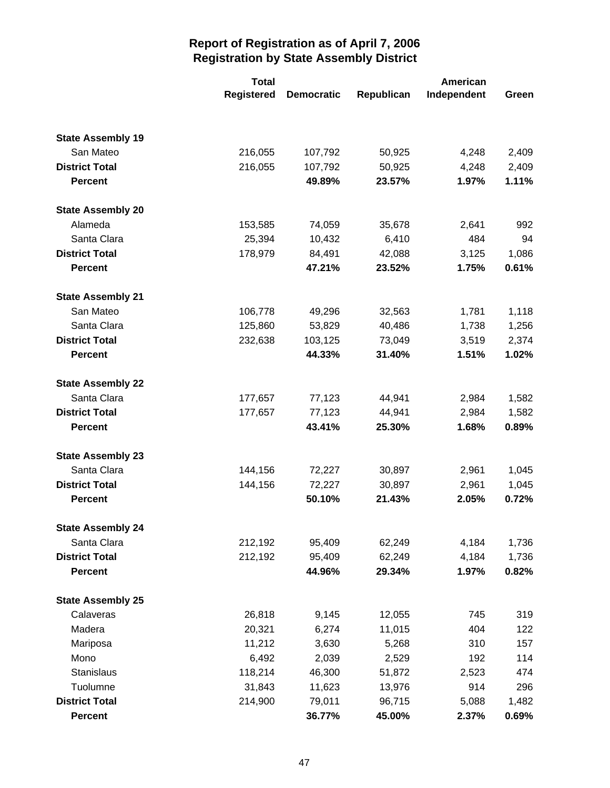|                          | <b>Total</b>      |                   | American   |             |       |
|--------------------------|-------------------|-------------------|------------|-------------|-------|
|                          | <b>Registered</b> | <b>Democratic</b> | Republican | Independent | Green |
|                          |                   |                   |            |             |       |
| <b>State Assembly 19</b> |                   |                   |            |             |       |
| San Mateo                | 216,055           | 107,792           | 50,925     | 4,248       | 2,409 |
| <b>District Total</b>    | 216,055           | 107,792           | 50,925     | 4,248       | 2,409 |
| <b>Percent</b>           |                   | 49.89%            | 23.57%     | 1.97%       | 1.11% |
| <b>State Assembly 20</b> |                   |                   |            |             |       |
| Alameda                  | 153,585           | 74,059            | 35,678     | 2,641       | 992   |
| Santa Clara              | 25,394            | 10,432            | 6,410      | 484         | 94    |
| <b>District Total</b>    | 178,979           | 84,491            | 42,088     | 3,125       | 1,086 |
| <b>Percent</b>           |                   | 47.21%            | 23.52%     | 1.75%       | 0.61% |
| <b>State Assembly 21</b> |                   |                   |            |             |       |
| San Mateo                | 106,778           | 49,296            | 32,563     | 1,781       | 1,118 |
| Santa Clara              | 125,860           | 53,829            | 40,486     | 1,738       | 1,256 |
| <b>District Total</b>    | 232,638           | 103,125           | 73,049     | 3,519       | 2,374 |
| <b>Percent</b>           |                   | 44.33%            | 31.40%     | 1.51%       | 1.02% |
| <b>State Assembly 22</b> |                   |                   |            |             |       |
| Santa Clara              | 177,657           | 77,123            | 44,941     | 2,984       | 1,582 |
| <b>District Total</b>    | 177,657           | 77,123            | 44,941     | 2,984       | 1,582 |
| <b>Percent</b>           |                   | 43.41%            | 25.30%     | 1.68%       | 0.89% |
| <b>State Assembly 23</b> |                   |                   |            |             |       |
| Santa Clara              | 144,156           | 72,227            | 30,897     | 2,961       | 1,045 |
| <b>District Total</b>    | 144,156           | 72,227            | 30,897     | 2,961       | 1,045 |
| <b>Percent</b>           |                   | 50.10%            | 21.43%     | 2.05%       | 0.72% |
| <b>State Assembly 24</b> |                   |                   |            |             |       |
| Santa Clara              | 212,192           | 95,409            | 62,249     | 4,184       | 1,736 |
| <b>District Total</b>    | 212,192           | 95,409            | 62,249     | 4,184       | 1,736 |
| <b>Percent</b>           |                   | 44.96%            | 29.34%     | 1.97%       | 0.82% |
| <b>State Assembly 25</b> |                   |                   |            |             |       |
| Calaveras                | 26,818            | 9,145             | 12,055     | 745         | 319   |
| Madera                   | 20,321            | 6,274             | 11,015     | 404         | 122   |
| Mariposa                 | 11,212            | 3,630             | 5,268      | 310         | 157   |
| Mono                     | 6,492             | 2,039             | 2,529      | 192         | 114   |
| Stanislaus               | 118,214           | 46,300            | 51,872     | 2,523       | 474   |
| Tuolumne                 | 31,843            | 11,623            | 13,976     | 914         | 296   |
| <b>District Total</b>    | 214,900           | 79,011            | 96,715     | 5,088       | 1,482 |
| <b>Percent</b>           |                   | 36.77%            | 45.00%     | 2.37%       | 0.69% |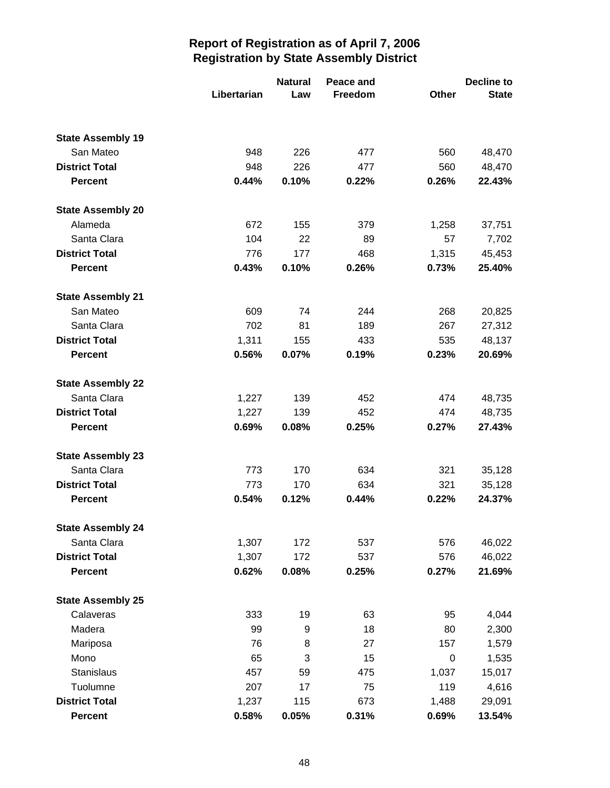|                          |             | <b>Natural</b> | Peace and |              |              |
|--------------------------|-------------|----------------|-----------|--------------|--------------|
|                          | Libertarian | Law            | Freedom   | <b>Other</b> | <b>State</b> |
|                          |             |                |           |              |              |
| <b>State Assembly 19</b> |             |                |           |              |              |
| San Mateo                | 948         | 226            | 477       | 560          | 48,470       |
| <b>District Total</b>    | 948         | 226            | 477       | 560          | 48,470       |
| <b>Percent</b>           | 0.44%       | 0.10%          | 0.22%     | 0.26%        | 22.43%       |
| <b>State Assembly 20</b> |             |                |           |              |              |
| Alameda                  | 672         | 155            | 379       | 1,258        | 37,751       |
| Santa Clara              | 104         | 22             | 89        | 57           | 7,702        |
| <b>District Total</b>    | 776         | 177            | 468       | 1,315        | 45,453       |
| <b>Percent</b>           | 0.43%       | 0.10%          | 0.26%     | 0.73%        | 25.40%       |
| <b>State Assembly 21</b> |             |                |           |              |              |
| San Mateo                | 609         | 74             | 244       | 268          | 20,825       |
| Santa Clara              | 702         | 81             | 189       | 267          | 27,312       |
| <b>District Total</b>    | 1,311       | 155            | 433       | 535          | 48,137       |
| <b>Percent</b>           | 0.56%       | 0.07%          | 0.19%     | 0.23%        | 20.69%       |
| <b>State Assembly 22</b> |             |                |           |              |              |
| Santa Clara              | 1,227       | 139            | 452       | 474          | 48,735       |
| <b>District Total</b>    | 1,227       | 139            | 452       | 474          | 48,735       |
| <b>Percent</b>           | 0.69%       | 0.08%          | 0.25%     | 0.27%        | 27.43%       |
| <b>State Assembly 23</b> |             |                |           |              |              |
| Santa Clara              | 773         | 170            | 634       | 321          | 35,128       |
| <b>District Total</b>    | 773         | 170            | 634       | 321          | 35,128       |
| <b>Percent</b>           | 0.54%       | 0.12%          | 0.44%     | 0.22%        | 24.37%       |
| <b>State Assembly 24</b> |             |                |           |              |              |
| Santa Clara              | 1,307       | 172            | 537       | 576          | 46,022       |
| <b>District Total</b>    | 1,307       | 172            | 537       | 576          | 46,022       |
| <b>Percent</b>           | 0.62%       | 0.08%          | 0.25%     | 0.27%        | 21.69%       |
| <b>State Assembly 25</b> |             |                |           |              |              |
| Calaveras                | 333         | 19             | 63        | 95           | 4,044        |
| Madera                   | 99          | 9              | 18        | 80           | 2,300        |
| Mariposa                 | 76          | 8              | 27        | 157          | 1,579        |
| Mono                     | 65          | 3              | 15        | $\mathbf 0$  | 1,535        |
| <b>Stanislaus</b>        | 457         | 59             | 475       | 1,037        | 15,017       |
| Tuolumne                 | 207         | 17             | 75        | 119          | 4,616        |
| <b>District Total</b>    | 1,237       | 115            | 673       | 1,488        | 29,091       |
| <b>Percent</b>           | 0.58%       | 0.05%          | 0.31%     | 0.69%        | 13.54%       |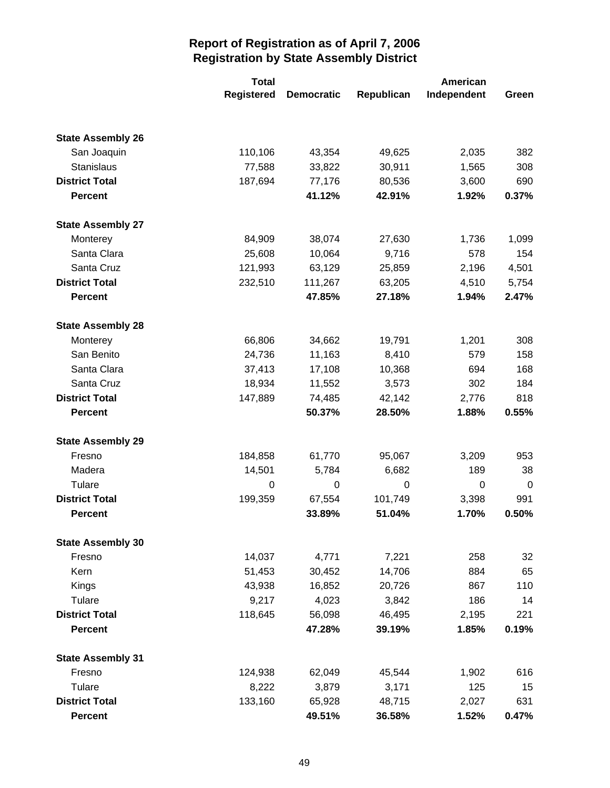|                          | <b>Total</b>      |                   | <b>American</b> |             |       |
|--------------------------|-------------------|-------------------|-----------------|-------------|-------|
|                          | <b>Registered</b> | <b>Democratic</b> | Republican      | Independent | Green |
|                          |                   |                   |                 |             |       |
| <b>State Assembly 26</b> |                   |                   |                 |             |       |
| San Joaquin              | 110,106           | 43,354            | 49,625          | 2,035       | 382   |
| Stanislaus               | 77,588            | 33,822            | 30,911          | 1,565       | 308   |
| <b>District Total</b>    | 187,694           | 77,176            | 80,536          | 3,600       | 690   |
| <b>Percent</b>           |                   | 41.12%            | 42.91%          | 1.92%       | 0.37% |
| <b>State Assembly 27</b> |                   |                   |                 |             |       |
| Monterey                 | 84,909            | 38,074            | 27,630          | 1,736       | 1,099 |
| Santa Clara              | 25,608            | 10,064            | 9,716           | 578         | 154   |
| Santa Cruz               | 121,993           | 63,129            | 25,859          | 2,196       | 4,501 |
| <b>District Total</b>    | 232,510           | 111,267           | 63,205          | 4,510       | 5,754 |
| <b>Percent</b>           |                   | 47.85%            | 27.18%          | 1.94%       | 2.47% |
| <b>State Assembly 28</b> |                   |                   |                 |             |       |
| Monterey                 | 66,806            | 34,662            | 19,791          | 1,201       | 308   |
| San Benito               | 24,736            | 11,163            | 8,410           | 579         | 158   |
| Santa Clara              | 37,413            | 17,108            | 10,368          | 694         | 168   |
| Santa Cruz               | 18,934            | 11,552            | 3,573           | 302         | 184   |
| <b>District Total</b>    | 147,889           | 74,485            | 42,142          | 2,776       | 818   |
| <b>Percent</b>           |                   | 50.37%            | 28.50%          | 1.88%       | 0.55% |
| <b>State Assembly 29</b> |                   |                   |                 |             |       |
| Fresno                   | 184,858           | 61,770            | 95,067          | 3,209       | 953   |
| Madera                   | 14,501            | 5,784             | 6,682           | 189         | 38    |
| Tulare                   | 0                 | 0                 | 0               | 0           | 0     |
| <b>District Total</b>    | 199,359           | 67,554            | 101,749         | 3,398       | 991   |
| <b>Percent</b>           |                   | 33.89%            | 51.04%          | 1.70%       | 0.50% |
| <b>State Assembly 30</b> |                   |                   |                 |             |       |
| Fresno                   | 14,037            | 4,771             | 7,221           | 258         | 32    |
| Kern                     | 51,453            | 30,452            | 14,706          | 884         | 65    |
| Kings                    | 43,938            | 16,852            | 20,726          | 867         | 110   |
| Tulare                   | 9,217             | 4,023             | 3,842           | 186         | 14    |
| <b>District Total</b>    | 118,645           | 56,098            | 46,495          | 2,195       | 221   |
| <b>Percent</b>           |                   | 47.28%            | 39.19%          | 1.85%       | 0.19% |
| <b>State Assembly 31</b> |                   |                   |                 |             |       |
| Fresno                   | 124,938           | 62,049            | 45,544          | 1,902       | 616   |
| Tulare                   | 8,222             | 3,879             | 3,171           | 125         | 15    |
| <b>District Total</b>    | 133,160           | 65,928            | 48,715          | 2,027       | 631   |
| <b>Percent</b>           |                   | 49.51%            | 36.58%          | 1.52%       | 0.47% |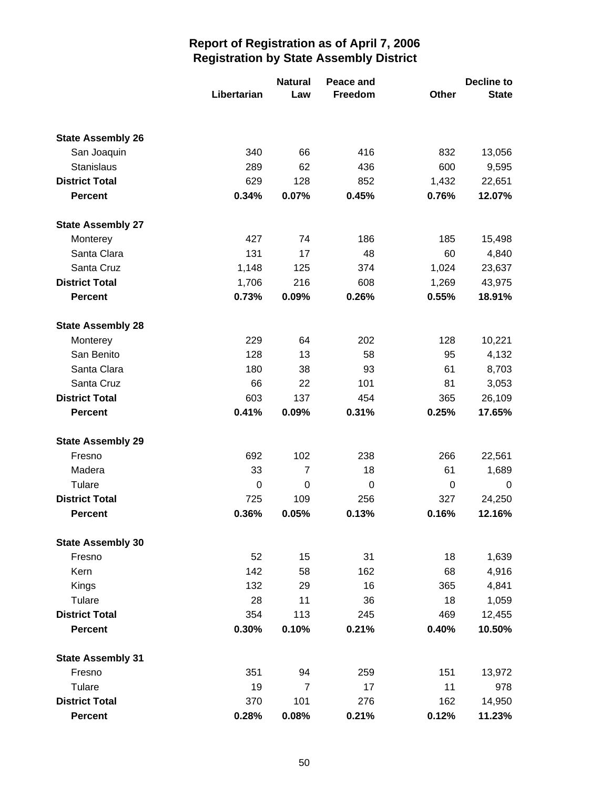|                          |             | <b>Natural</b><br>Peace and |         |              | <b>Decline to</b> |  |
|--------------------------|-------------|-----------------------------|---------|--------------|-------------------|--|
|                          | Libertarian | Law                         | Freedom | <b>Other</b> | <b>State</b>      |  |
|                          |             |                             |         |              |                   |  |
| <b>State Assembly 26</b> |             |                             |         |              |                   |  |
| San Joaquin              | 340         | 66                          | 416     | 832          | 13,056            |  |
| <b>Stanislaus</b>        | 289         | 62                          | 436     | 600          | 9,595             |  |
| <b>District Total</b>    | 629         | 128                         | 852     | 1,432        | 22,651            |  |
| <b>Percent</b>           | 0.34%       | 0.07%                       | 0.45%   | 0.76%        | 12.07%            |  |
| <b>State Assembly 27</b> |             |                             |         |              |                   |  |
| Monterey                 | 427         | 74                          | 186     | 185          | 15,498            |  |
| Santa Clara              | 131         | 17                          | 48      | 60           | 4,840             |  |
| Santa Cruz               | 1,148       | 125                         | 374     | 1,024        | 23,637            |  |
| <b>District Total</b>    | 1,706       | 216                         | 608     | 1,269        | 43,975            |  |
| <b>Percent</b>           | 0.73%       | 0.09%                       | 0.26%   | 0.55%        | 18.91%            |  |
| <b>State Assembly 28</b> |             |                             |         |              |                   |  |
| Monterey                 | 229         | 64                          | 202     | 128          | 10,221            |  |
| San Benito               | 128         | 13                          | 58      | 95           | 4,132             |  |
| Santa Clara              | 180         | 38                          | 93      | 61           | 8,703             |  |
| Santa Cruz               | 66          | 22                          | 101     | 81           | 3,053             |  |
| <b>District Total</b>    | 603         | 137                         | 454     | 365          | 26,109            |  |
| <b>Percent</b>           | 0.41%       | 0.09%                       | 0.31%   | 0.25%        | 17.65%            |  |
| <b>State Assembly 29</b> |             |                             |         |              |                   |  |
| Fresno                   | 692         | 102                         | 238     | 266          | 22,561            |  |
| Madera                   | 33          | $\overline{7}$              | 18      | 61           | 1,689             |  |
| Tulare                   | 0           | 0                           | 0       | 0            | 0                 |  |
| <b>District Total</b>    | 725         | 109                         | 256     | 327          | 24,250            |  |
| <b>Percent</b>           | 0.36%       | 0.05%                       | 0.13%   | 0.16%        | 12.16%            |  |
| <b>State Assembly 30</b> |             |                             |         |              |                   |  |
| Fresno                   | 52          | 15                          | 31      | 18           | 1,639             |  |
| Kern                     | 142         | 58                          | 162     | 68           | 4,916             |  |
| Kings                    | 132         | 29                          | 16      | 365          | 4,841             |  |
| Tulare                   | 28          | 11                          | 36      | 18           | 1,059             |  |
| <b>District Total</b>    | 354         | 113                         | 245     | 469          | 12,455            |  |
| <b>Percent</b>           | 0.30%       | 0.10%                       | 0.21%   | 0.40%        | 10.50%            |  |
| <b>State Assembly 31</b> |             |                             |         |              |                   |  |
| Fresno                   | 351         | 94                          | 259     | 151          | 13,972            |  |
| Tulare                   | 19          | $\overline{7}$              | 17      | 11           | 978               |  |
| <b>District Total</b>    | 370         | 101                         | 276     | 162          | 14,950            |  |
| <b>Percent</b>           | 0.28%       | 0.08%                       | 0.21%   | 0.12%        | 11.23%            |  |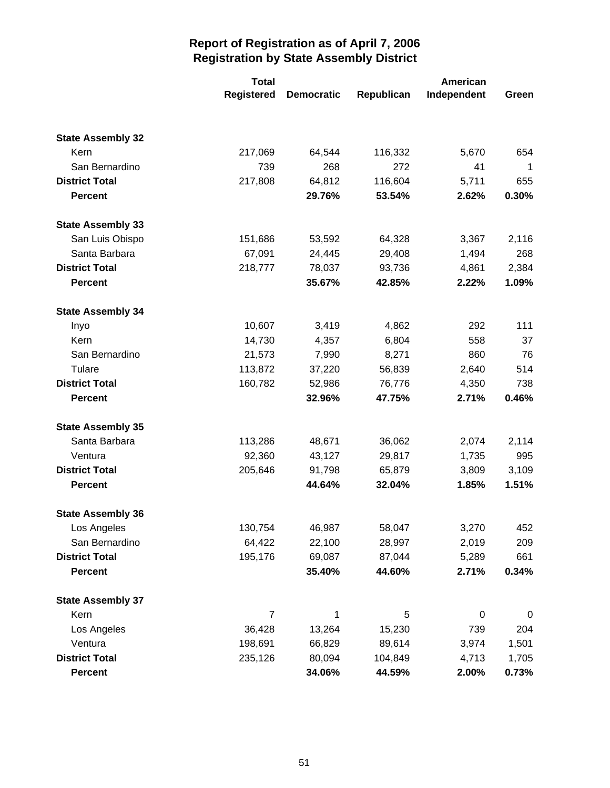|                          | <b>Total</b>      | American          |            |             |       |
|--------------------------|-------------------|-------------------|------------|-------------|-------|
|                          | <b>Registered</b> | <b>Democratic</b> | Republican | Independent | Green |
|                          |                   |                   |            |             |       |
| <b>State Assembly 32</b> |                   |                   |            |             |       |
| Kern                     | 217,069           | 64,544            | 116,332    | 5,670       | 654   |
| San Bernardino           | 739               | 268               | 272        | 41          | 1     |
| <b>District Total</b>    | 217,808           | 64,812            | 116,604    | 5,711       | 655   |
| <b>Percent</b>           |                   | 29.76%            | 53.54%     | 2.62%       | 0.30% |
| <b>State Assembly 33</b> |                   |                   |            |             |       |
| San Luis Obispo          | 151,686           | 53,592            | 64,328     | 3,367       | 2,116 |
| Santa Barbara            | 67,091            | 24,445            | 29,408     | 1,494       | 268   |
| <b>District Total</b>    | 218,777           | 78,037            | 93,736     | 4,861       | 2,384 |
| <b>Percent</b>           |                   | 35.67%            | 42.85%     | 2.22%       | 1.09% |
| <b>State Assembly 34</b> |                   |                   |            |             |       |
| Inyo                     | 10,607            | 3,419             | 4,862      | 292         | 111   |
| Kern                     | 14,730            | 4,357             | 6,804      | 558         | 37    |
| San Bernardino           | 21,573            | 7,990             | 8,271      | 860         | 76    |
| Tulare                   | 113,872           | 37,220            | 56,839     | 2,640       | 514   |
| <b>District Total</b>    | 160,782           | 52,986            | 76,776     | 4,350       | 738   |
| <b>Percent</b>           |                   | 32.96%            | 47.75%     | 2.71%       | 0.46% |
| <b>State Assembly 35</b> |                   |                   |            |             |       |
| Santa Barbara            | 113,286           | 48,671            | 36,062     | 2,074       | 2,114 |
| Ventura                  | 92,360            | 43,127            | 29,817     | 1,735       | 995   |
| <b>District Total</b>    | 205,646           | 91,798            | 65,879     | 3,809       | 3,109 |
| <b>Percent</b>           |                   | 44.64%            | 32.04%     | 1.85%       | 1.51% |
| <b>State Assembly 36</b> |                   |                   |            |             |       |
| Los Angeles              | 130,754           | 46,987            | 58,047     | 3,270       | 452   |
| San Bernardino           | 64,422            | 22,100            | 28,997     | 2,019       | 209   |
| <b>District Total</b>    | 195,176           | 69,087            | 87,044     | 5,289       | 661   |
| <b>Percent</b>           |                   | 35.40%            | 44.60%     | 2.71%       | 0.34% |
| <b>State Assembly 37</b> |                   |                   |            |             |       |
| Kern                     | 7                 | 1                 | 5          | $\pmb{0}$   | 0     |
| Los Angeles              | 36,428            | 13,264            | 15,230     | 739         | 204   |
| Ventura                  | 198,691           | 66,829            | 89,614     | 3,974       | 1,501 |
| <b>District Total</b>    | 235,126           | 80,094            | 104,849    | 4,713       | 1,705 |
| <b>Percent</b>           |                   | 34.06%            | 44.59%     | 2.00%       | 0.73% |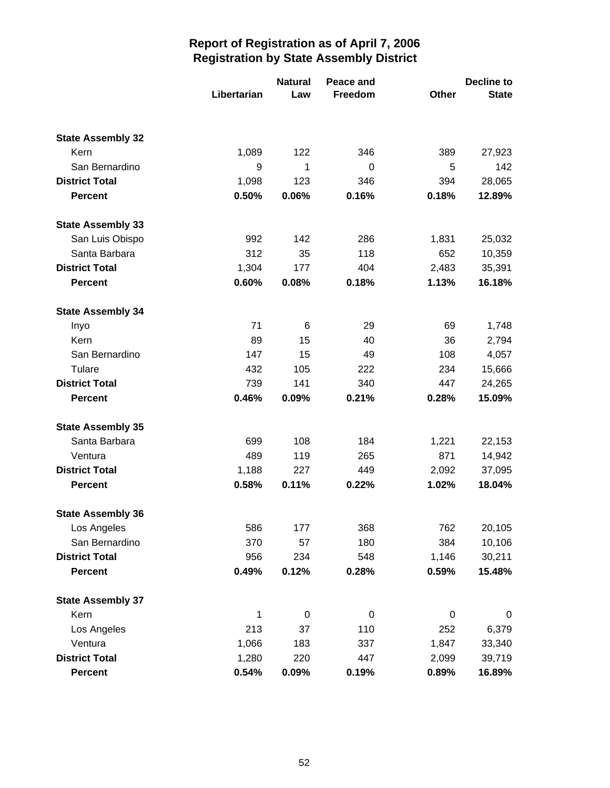|                          |             | <b>Natural</b><br>Peace and |         |             | Decline to   |  |
|--------------------------|-------------|-----------------------------|---------|-------------|--------------|--|
|                          | Libertarian | Law                         | Freedom | Other       | <b>State</b> |  |
|                          |             |                             |         |             |              |  |
| <b>State Assembly 32</b> |             |                             |         |             |              |  |
| Kern                     | 1,089       | 122                         | 346     | 389         | 27,923       |  |
| San Bernardino           | 9           | 1                           | 0       | 5           | 142          |  |
| <b>District Total</b>    | 1,098       | 123                         | 346     | 394         | 28,065       |  |
| <b>Percent</b>           | 0.50%       | 0.06%                       | 0.16%   | 0.18%       | 12.89%       |  |
| <b>State Assembly 33</b> |             |                             |         |             |              |  |
| San Luis Obispo          | 992         | 142                         | 286     | 1,831       | 25,032       |  |
| Santa Barbara            | 312         | 35                          | 118     | 652         | 10,359       |  |
| <b>District Total</b>    | 1,304       | 177                         | 404     | 2,483       | 35,391       |  |
| <b>Percent</b>           | 0.60%       | 0.08%                       | 0.18%   | 1.13%       | 16.18%       |  |
| <b>State Assembly 34</b> |             |                             |         |             |              |  |
| Inyo                     | 71          | 6                           | 29      | 69          | 1,748        |  |
| Kern                     | 89          | 15                          | 40      | 36          | 2,794        |  |
| San Bernardino           | 147         | 15                          | 49      | 108         | 4,057        |  |
| Tulare                   | 432         | 105                         | 222     | 234         | 15,666       |  |
| <b>District Total</b>    | 739         | 141                         | 340     | 447         | 24,265       |  |
| <b>Percent</b>           | 0.46%       | 0.09%                       | 0.21%   | 0.28%       | 15.09%       |  |
| <b>State Assembly 35</b> |             |                             |         |             |              |  |
| Santa Barbara            | 699         | 108                         | 184     | 1,221       | 22,153       |  |
| Ventura                  | 489         | 119                         | 265     | 871         | 14,942       |  |
| <b>District Total</b>    | 1,188       | 227                         | 449     | 2,092       | 37,095       |  |
| <b>Percent</b>           | 0.58%       | 0.11%                       | 0.22%   | 1.02%       | 18.04%       |  |
| <b>State Assembly 36</b> |             |                             |         |             |              |  |
| Los Angeles              | 586         | 177                         | 368     | 762         | 20,105       |  |
| San Bernardino           | 370         | 57                          | 180     | 384         | 10,106       |  |
| <b>District Total</b>    | 956         | 234                         | 548     | 1,146       | 30,211       |  |
| <b>Percent</b>           | 0.49%       | 0.12%                       | 0.28%   | 0.59%       | 15.48%       |  |
| <b>State Assembly 37</b> |             |                             |         |             |              |  |
| Kern                     | 1           | $\pmb{0}$                   | 0       | $\mathbf 0$ | 0            |  |
| Los Angeles              | 213         | 37                          | 110     | 252         | 6,379        |  |
| Ventura                  | 1,066       | 183                         | 337     | 1,847       | 33,340       |  |
| <b>District Total</b>    | 1,280       | 220                         | 447     | 2,099       | 39,719       |  |
| <b>Percent</b>           | 0.54%       | 0.09%                       | 0.19%   | 0.89%       | 16.89%       |  |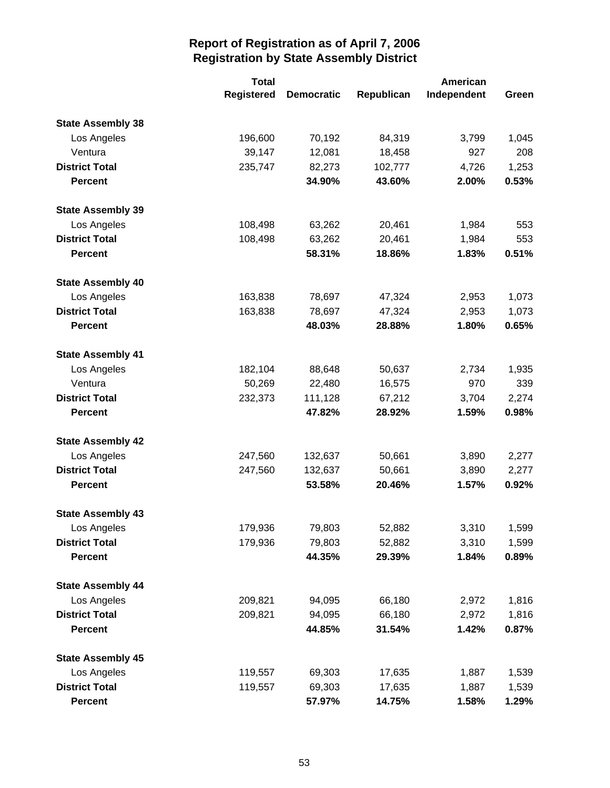|                          | <b>Total</b>      |                   | <b>American</b> |             |       |
|--------------------------|-------------------|-------------------|-----------------|-------------|-------|
|                          | <b>Registered</b> | <b>Democratic</b> | Republican      | Independent | Green |
| <b>State Assembly 38</b> |                   |                   |                 |             |       |
| Los Angeles              | 196,600           | 70,192            | 84,319          | 3,799       | 1,045 |
| Ventura                  | 39,147            | 12,081            | 18,458          | 927         | 208   |
| <b>District Total</b>    | 235,747           | 82,273            | 102,777         | 4,726       | 1,253 |
| <b>Percent</b>           |                   | 34.90%            | 43.60%          | 2.00%       | 0.53% |
| <b>State Assembly 39</b> |                   |                   |                 |             |       |
| Los Angeles              | 108,498           | 63,262            | 20,461          | 1,984       | 553   |
| <b>District Total</b>    | 108,498           | 63,262            | 20,461          | 1,984       | 553   |
| <b>Percent</b>           |                   | 58.31%            | 18.86%          | 1.83%       | 0.51% |
| <b>State Assembly 40</b> |                   |                   |                 |             |       |
| Los Angeles              | 163,838           | 78,697            | 47,324          | 2,953       | 1,073 |
| <b>District Total</b>    | 163,838           | 78,697            | 47,324          | 2,953       | 1,073 |
| <b>Percent</b>           |                   | 48.03%            | 28.88%          | 1.80%       | 0.65% |
| <b>State Assembly 41</b> |                   |                   |                 |             |       |
| Los Angeles              | 182,104           | 88,648            | 50,637          | 2,734       | 1,935 |
| Ventura                  | 50,269            | 22,480            | 16,575          | 970         | 339   |
| <b>District Total</b>    | 232,373           | 111,128           | 67,212          | 3,704       | 2,274 |
| <b>Percent</b>           |                   | 47.82%            | 28.92%          | 1.59%       | 0.98% |
| <b>State Assembly 42</b> |                   |                   |                 |             |       |
| Los Angeles              | 247,560           | 132,637           | 50,661          | 3,890       | 2,277 |
| <b>District Total</b>    | 247,560           | 132,637           | 50,661          | 3,890       | 2,277 |
| <b>Percent</b>           |                   | 53.58%            | 20.46%          | 1.57%       | 0.92% |
| <b>State Assembly 43</b> |                   |                   |                 |             |       |
| Los Angeles              | 179,936           | 79,803            | 52,882          | 3,310       | 1,599 |
| <b>District Total</b>    | 179,936           | 79,803            | 52,882          | 3,310       | 1,599 |
| <b>Percent</b>           |                   | 44.35%            | 29.39%          | 1.84%       | 0.89% |
| <b>State Assembly 44</b> |                   |                   |                 |             |       |
| Los Angeles              | 209,821           | 94,095            | 66,180          | 2,972       | 1,816 |
| <b>District Total</b>    | 209,821           | 94,095            | 66,180          | 2,972       | 1,816 |
| <b>Percent</b>           |                   | 44.85%            | 31.54%          | 1.42%       | 0.87% |
| <b>State Assembly 45</b> |                   |                   |                 |             |       |
| Los Angeles              | 119,557           | 69,303            | 17,635          | 1,887       | 1,539 |
| <b>District Total</b>    | 119,557           | 69,303            | 17,635          | 1,887       | 1,539 |
| <b>Percent</b>           |                   | 57.97%            | 14.75%          | 1.58%       | 1.29% |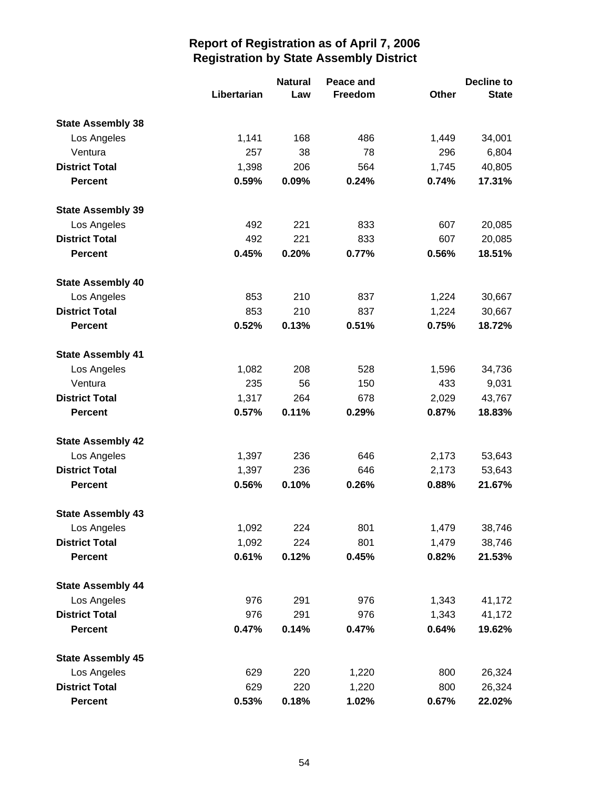|                          |             | <b>Natural</b> | Peace and |       | Decline to   |
|--------------------------|-------------|----------------|-----------|-------|--------------|
|                          | Libertarian | Law            | Freedom   | Other | <b>State</b> |
| <b>State Assembly 38</b> |             |                |           |       |              |
| Los Angeles              | 1,141       | 168            | 486       | 1,449 | 34,001       |
| Ventura                  | 257         | 38             | 78        | 296   | 6,804        |
| <b>District Total</b>    | 1,398       | 206            | 564       | 1,745 | 40,805       |
| <b>Percent</b>           | 0.59%       | 0.09%          | 0.24%     | 0.74% | 17.31%       |
| <b>State Assembly 39</b> |             |                |           |       |              |
| Los Angeles              | 492         | 221            | 833       | 607   | 20,085       |
| <b>District Total</b>    | 492         | 221            | 833       | 607   | 20,085       |
| <b>Percent</b>           | 0.45%       | 0.20%          | 0.77%     | 0.56% | 18.51%       |
| <b>State Assembly 40</b> |             |                |           |       |              |
| Los Angeles              | 853         | 210            | 837       | 1,224 | 30,667       |
| <b>District Total</b>    | 853         | 210            | 837       | 1,224 | 30,667       |
| <b>Percent</b>           | 0.52%       | 0.13%          | 0.51%     | 0.75% | 18.72%       |
| <b>State Assembly 41</b> |             |                |           |       |              |
| Los Angeles              | 1,082       | 208            | 528       | 1,596 | 34,736       |
| Ventura                  | 235         | 56             | 150       | 433   | 9,031        |
| <b>District Total</b>    | 1,317       | 264            | 678       | 2,029 | 43,767       |
| <b>Percent</b>           | 0.57%       | 0.11%          | 0.29%     | 0.87% | 18.83%       |
| <b>State Assembly 42</b> |             |                |           |       |              |
| Los Angeles              | 1,397       | 236            | 646       | 2,173 | 53,643       |
| <b>District Total</b>    | 1,397       | 236            | 646       | 2,173 | 53,643       |
| <b>Percent</b>           | 0.56%       | 0.10%          | 0.26%     | 0.88% | 21.67%       |
| <b>State Assembly 43</b> |             |                |           |       |              |
| Los Angeles              | 1,092       | 224            | 801       | 1,479 | 38,746       |
| <b>District Total</b>    | 1,092       | 224            | 801       | 1,479 | 38,746       |
| <b>Percent</b>           | 0.61%       | 0.12%          | 0.45%     | 0.82% | 21.53%       |
| <b>State Assembly 44</b> |             |                |           |       |              |
| Los Angeles              | 976         | 291            | 976       | 1,343 | 41,172       |
| <b>District Total</b>    | 976         | 291            | 976       | 1,343 | 41,172       |
| <b>Percent</b>           | 0.47%       | 0.14%          | 0.47%     | 0.64% | 19.62%       |
| <b>State Assembly 45</b> |             |                |           |       |              |
| Los Angeles              | 629         | 220            | 1,220     | 800   | 26,324       |
| <b>District Total</b>    | 629         | 220            | 1,220     | 800   | 26,324       |
| <b>Percent</b>           | 0.53%       | 0.18%          | 1.02%     | 0.67% | 22.02%       |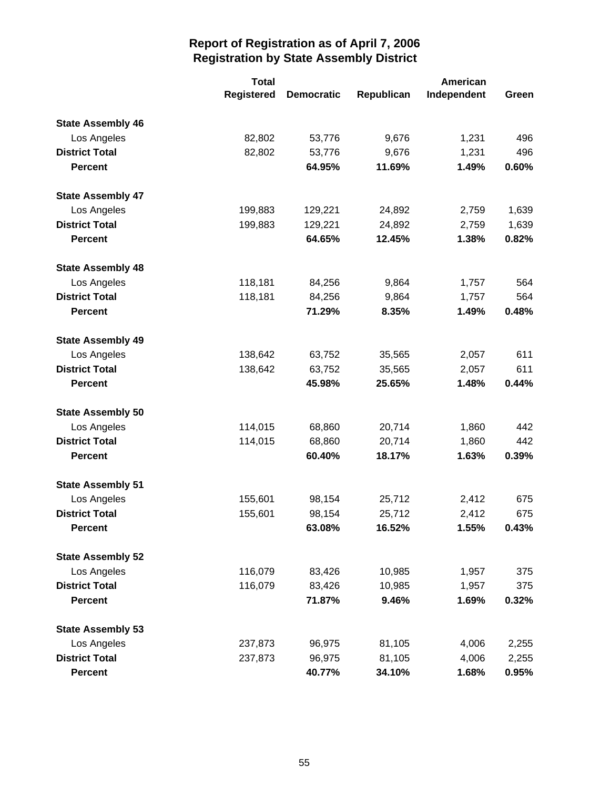|                          | <b>Total</b>      | <b>American</b>   |            |             |       |
|--------------------------|-------------------|-------------------|------------|-------------|-------|
|                          | <b>Registered</b> | <b>Democratic</b> | Republican | Independent | Green |
| <b>State Assembly 46</b> |                   |                   |            |             |       |
| Los Angeles              | 82,802            | 53,776            | 9,676      | 1,231       | 496   |
| <b>District Total</b>    | 82,802            | 53,776            | 9,676      | 1,231       | 496   |
| <b>Percent</b>           |                   | 64.95%            | 11.69%     | 1.49%       | 0.60% |
| <b>State Assembly 47</b> |                   |                   |            |             |       |
| Los Angeles              | 199,883           | 129,221           | 24,892     | 2,759       | 1,639 |
| <b>District Total</b>    | 199,883           | 129,221           | 24,892     | 2,759       | 1,639 |
| <b>Percent</b>           |                   | 64.65%            | 12.45%     | 1.38%       | 0.82% |
| <b>State Assembly 48</b> |                   |                   |            |             |       |
| Los Angeles              | 118,181           | 84,256            | 9,864      | 1,757       | 564   |
| <b>District Total</b>    | 118,181           | 84,256            | 9,864      | 1,757       | 564   |
| <b>Percent</b>           |                   | 71.29%            | 8.35%      | 1.49%       | 0.48% |
| <b>State Assembly 49</b> |                   |                   |            |             |       |
| Los Angeles              | 138,642           | 63,752            | 35,565     | 2,057       | 611   |
| <b>District Total</b>    | 138,642           | 63,752            | 35,565     | 2,057       | 611   |
| <b>Percent</b>           |                   | 45.98%            | 25.65%     | 1.48%       | 0.44% |
| <b>State Assembly 50</b> |                   |                   |            |             |       |
| Los Angeles              | 114,015           | 68,860            | 20,714     | 1,860       | 442   |
| <b>District Total</b>    | 114,015           | 68,860            | 20,714     | 1,860       | 442   |
| <b>Percent</b>           |                   | 60.40%            | 18.17%     | 1.63%       | 0.39% |
| <b>State Assembly 51</b> |                   |                   |            |             |       |
| Los Angeles              | 155,601           | 98,154            | 25,712     | 2,412       | 675   |
| <b>District Total</b>    | 155,601           | 98,154            | 25,712     | 2,412       | 675   |
| <b>Percent</b>           |                   | 63.08%            | 16.52%     | 1.55%       | 0.43% |
| <b>State Assembly 52</b> |                   |                   |            |             |       |
| Los Angeles              | 116,079           | 83,426            | 10,985     | 1,957       | 375   |
| <b>District Total</b>    | 116,079           | 83,426            | 10,985     | 1,957       | 375   |
| <b>Percent</b>           |                   | 71.87%            | 9.46%      | 1.69%       | 0.32% |
| <b>State Assembly 53</b> |                   |                   |            |             |       |
| Los Angeles              | 237,873           | 96,975            | 81,105     | 4,006       | 2,255 |
| <b>District Total</b>    | 237,873           | 96,975            | 81,105     | 4,006       | 2,255 |
| <b>Percent</b>           |                   | 40.77%            | 34.10%     | 1.68%       | 0.95% |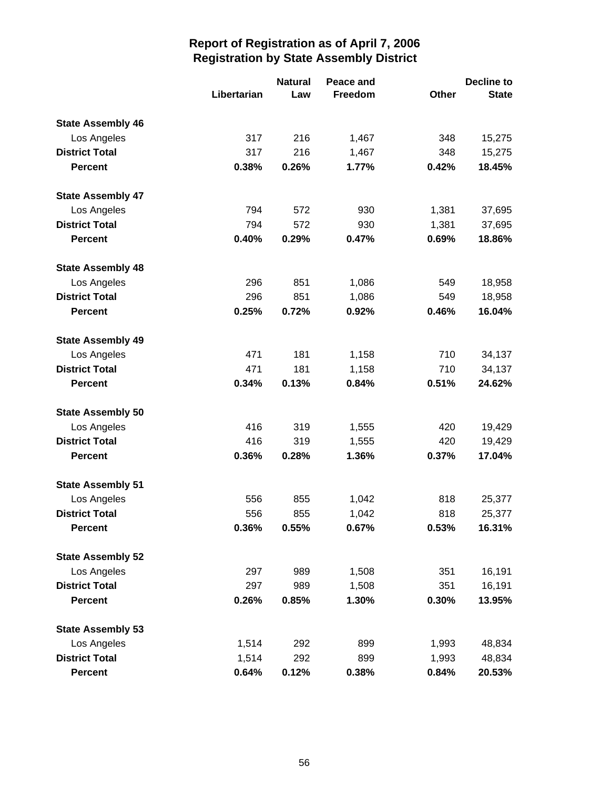|                          |             | <b>Natural</b> | Peace and |              |              |
|--------------------------|-------------|----------------|-----------|--------------|--------------|
|                          | Libertarian | Law            | Freedom   | <b>Other</b> | <b>State</b> |
| <b>State Assembly 46</b> |             |                |           |              |              |
| Los Angeles              | 317         | 216            | 1,467     | 348          | 15,275       |
| <b>District Total</b>    | 317         | 216            | 1,467     | 348          | 15,275       |
| <b>Percent</b>           | 0.38%       | 0.26%          | 1.77%     | 0.42%        | 18.45%       |
| <b>State Assembly 47</b> |             |                |           |              |              |
| Los Angeles              | 794         | 572            | 930       | 1,381        | 37,695       |
| <b>District Total</b>    | 794         | 572            | 930       | 1,381        | 37,695       |
| <b>Percent</b>           | 0.40%       | 0.29%          | 0.47%     | 0.69%        | 18.86%       |
| <b>State Assembly 48</b> |             |                |           |              |              |
| Los Angeles              | 296         | 851            | 1,086     | 549          | 18,958       |
| <b>District Total</b>    | 296         | 851            | 1,086     | 549          | 18,958       |
| <b>Percent</b>           | 0.25%       | 0.72%          | 0.92%     | 0.46%        | 16.04%       |
| <b>State Assembly 49</b> |             |                |           |              |              |
| Los Angeles              | 471         | 181            | 1,158     | 710          | 34,137       |
| <b>District Total</b>    | 471         | 181            | 1,158     | 710          | 34,137       |
| <b>Percent</b>           | 0.34%       | 0.13%          | 0.84%     | 0.51%        | 24.62%       |
| <b>State Assembly 50</b> |             |                |           |              |              |
| Los Angeles              | 416         | 319            | 1,555     | 420          | 19,429       |
| <b>District Total</b>    | 416         | 319            | 1,555     | 420          | 19,429       |
| <b>Percent</b>           | 0.36%       | 0.28%          | 1.36%     | 0.37%        | 17.04%       |
| <b>State Assembly 51</b> |             |                |           |              |              |
| Los Angeles              | 556         | 855            | 1,042     | 818          | 25,377       |
| <b>District Total</b>    | 556         | 855            | 1,042     | 818          | 25,377       |
| <b>Percent</b>           | 0.36%       | 0.55%          | 0.67%     | 0.53%        | 16.31%       |
| <b>State Assembly 52</b> |             |                |           |              |              |
| Los Angeles              | 297         | 989            | 1,508     | 351          | 16,191       |
| <b>District Total</b>    | 297         | 989            | 1,508     | 351          | 16,191       |
| <b>Percent</b>           | 0.26%       | 0.85%          | 1.30%     | 0.30%        | 13.95%       |
| <b>State Assembly 53</b> |             |                |           |              |              |
| Los Angeles              | 1,514       | 292            | 899       | 1,993        | 48,834       |
| <b>District Total</b>    | 1,514       | 292            | 899       | 1,993        | 48,834       |
| <b>Percent</b>           | 0.64%       | 0.12%          | 0.38%     | 0.84%        | 20.53%       |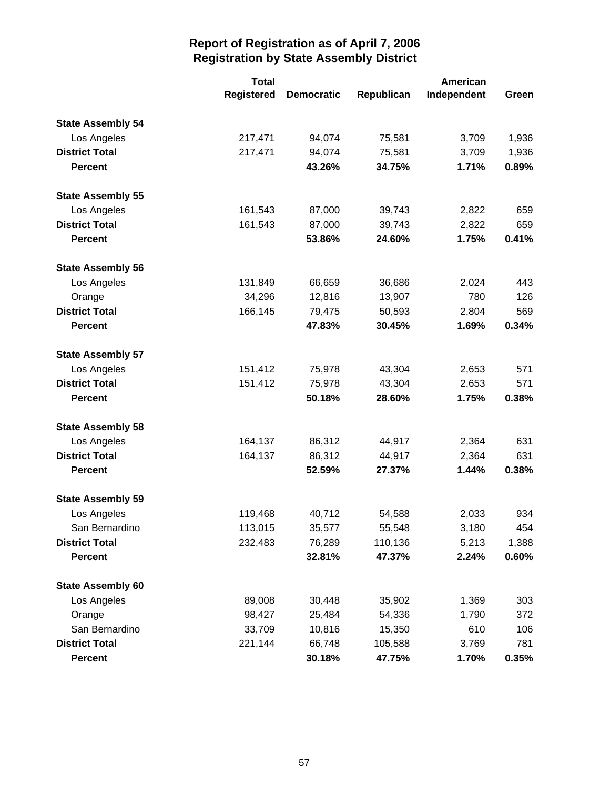|                          | <b>Total</b>      |                   |            |             |       |
|--------------------------|-------------------|-------------------|------------|-------------|-------|
|                          | <b>Registered</b> | <b>Democratic</b> | Republican | Independent | Green |
| <b>State Assembly 54</b> |                   |                   |            |             |       |
| Los Angeles              | 217,471           | 94,074            | 75,581     | 3,709       | 1,936 |
| <b>District Total</b>    | 217,471           | 94,074            | 75,581     | 3,709       | 1,936 |
| <b>Percent</b>           |                   | 43.26%            | 34.75%     | 1.71%       | 0.89% |
| <b>State Assembly 55</b> |                   |                   |            |             |       |
| Los Angeles              | 161,543           | 87,000            | 39,743     | 2,822       | 659   |
| <b>District Total</b>    | 161,543           | 87,000            | 39,743     | 2,822       | 659   |
| <b>Percent</b>           |                   | 53.86%            | 24.60%     | 1.75%       | 0.41% |
| <b>State Assembly 56</b> |                   |                   |            |             |       |
| Los Angeles              | 131,849           | 66,659            | 36,686     | 2,024       | 443   |
| Orange                   | 34,296            | 12,816            | 13,907     | 780         | 126   |
| <b>District Total</b>    | 166,145           | 79,475            | 50,593     | 2,804       | 569   |
| <b>Percent</b>           |                   | 47.83%            | 30.45%     | 1.69%       | 0.34% |
| <b>State Assembly 57</b> |                   |                   |            |             |       |
| Los Angeles              | 151,412           | 75,978            | 43,304     | 2,653       | 571   |
| <b>District Total</b>    | 151,412           | 75,978            | 43,304     | 2,653       | 571   |
| <b>Percent</b>           |                   | 50.18%            | 28.60%     | 1.75%       | 0.38% |
| <b>State Assembly 58</b> |                   |                   |            |             |       |
| Los Angeles              | 164,137           | 86,312            | 44,917     | 2,364       | 631   |
| <b>District Total</b>    | 164,137           | 86,312            | 44,917     | 2,364       | 631   |
| <b>Percent</b>           |                   | 52.59%            | 27.37%     | 1.44%       | 0.38% |
| <b>State Assembly 59</b> |                   |                   |            |             |       |
| Los Angeles              | 119,468           | 40,712            | 54,588     | 2,033       | 934   |
| San Bernardino           | 113,015           | 35,577            | 55,548     | 3,180       | 454   |
| <b>District Total</b>    | 232,483           | 76,289            | 110,136    | 5,213       | 1,388 |
| <b>Percent</b>           |                   | 32.81%            | 47.37%     | 2.24%       | 0.60% |
| <b>State Assembly 60</b> |                   |                   |            |             |       |
| Los Angeles              | 89,008            | 30,448            | 35,902     | 1,369       | 303   |
| Orange                   | 98,427            | 25,484            | 54,336     | 1,790       | 372   |
| San Bernardino           | 33,709            | 10,816            | 15,350     | 610         | 106   |
| <b>District Total</b>    | 221,144           | 66,748            | 105,588    | 3,769       | 781   |
| <b>Percent</b>           |                   | 30.18%            | 47.75%     | 1.70%       | 0.35% |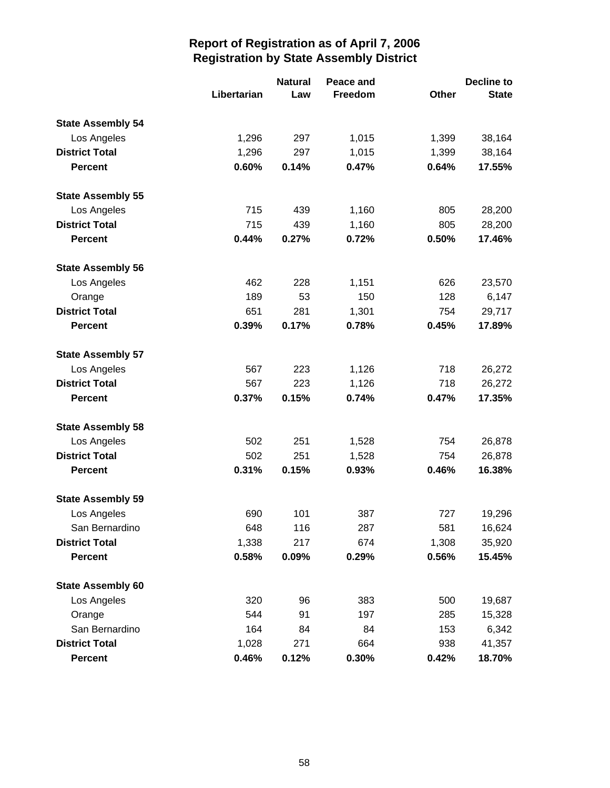|                          |             | <b>Natural</b> | Peace and |              | <b>Decline to</b> |
|--------------------------|-------------|----------------|-----------|--------------|-------------------|
|                          | Libertarian | Law            | Freedom   | <b>Other</b> | <b>State</b>      |
| <b>State Assembly 54</b> |             |                |           |              |                   |
| Los Angeles              | 1,296       | 297            | 1,015     | 1,399        | 38,164            |
| <b>District Total</b>    | 1,296       | 297            | 1,015     | 1,399        | 38,164            |
| <b>Percent</b>           | 0.60%       | 0.14%          | 0.47%     | 0.64%        | 17.55%            |
| <b>State Assembly 55</b> |             |                |           |              |                   |
| Los Angeles              | 715         | 439            | 1,160     | 805          | 28,200            |
| <b>District Total</b>    | 715         | 439            | 1,160     | 805          | 28,200            |
| <b>Percent</b>           | 0.44%       | 0.27%          | 0.72%     | 0.50%        | 17.46%            |
| <b>State Assembly 56</b> |             |                |           |              |                   |
| Los Angeles              | 462         | 228            | 1,151     | 626          | 23,570            |
| Orange                   | 189         | 53             | 150       | 128          | 6,147             |
| <b>District Total</b>    | 651         | 281            | 1,301     | 754          | 29,717            |
| <b>Percent</b>           | 0.39%       | 0.17%          | 0.78%     | 0.45%        | 17.89%            |
| <b>State Assembly 57</b> |             |                |           |              |                   |
| Los Angeles              | 567         | 223            | 1,126     | 718          | 26,272            |
| <b>District Total</b>    | 567         | 223            | 1,126     | 718          | 26,272            |
| <b>Percent</b>           | 0.37%       | 0.15%          | 0.74%     | 0.47%        | 17.35%            |
| <b>State Assembly 58</b> |             |                |           |              |                   |
| Los Angeles              | 502         | 251            | 1,528     | 754          | 26,878            |
| <b>District Total</b>    | 502         | 251            | 1,528     | 754          | 26,878            |
| <b>Percent</b>           | 0.31%       | 0.15%          | 0.93%     | 0.46%        | 16.38%            |
| <b>State Assembly 59</b> |             |                |           |              |                   |
| Los Angeles              | 690         | 101            | 387       | 727          | 19,296            |
| San Bernardino           | 648         | 116            | 287       | 581          | 16,624            |
| <b>District Total</b>    | 1,338       | 217            | 674       | 1,308        | 35,920            |
| <b>Percent</b>           | 0.58%       | 0.09%          | 0.29%     | 0.56%        | 15.45%            |
| <b>State Assembly 60</b> |             |                |           |              |                   |
| Los Angeles              | 320         | 96             | 383       | 500          | 19,687            |
| Orange                   | 544         | 91             | 197       | 285          | 15,328            |
| San Bernardino           | 164         | 84             | 84        | 153          | 6,342             |
| <b>District Total</b>    | 1,028       | 271            | 664       | 938          | 41,357            |
| <b>Percent</b>           | 0.46%       | 0.12%          | 0.30%     | 0.42%        | 18.70%            |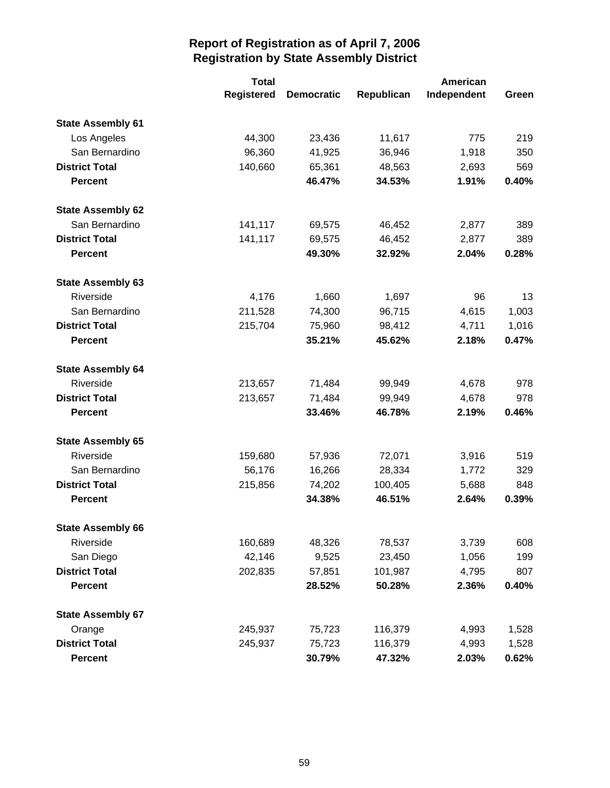|                          | <b>Total</b>      |                   | <b>American</b> |             |       |
|--------------------------|-------------------|-------------------|-----------------|-------------|-------|
|                          | <b>Registered</b> | <b>Democratic</b> | Republican      | Independent | Green |
| <b>State Assembly 61</b> |                   |                   |                 |             |       |
| Los Angeles              | 44,300            | 23,436            | 11,617          | 775         | 219   |
| San Bernardino           | 96,360            | 41,925            | 36,946          | 1,918       | 350   |
| <b>District Total</b>    | 140,660           | 65,361            | 48,563          | 2,693       | 569   |
| <b>Percent</b>           |                   | 46.47%            | 34.53%          | 1.91%       | 0.40% |
| <b>State Assembly 62</b> |                   |                   |                 |             |       |
| San Bernardino           | 141,117           | 69,575            | 46,452          | 2,877       | 389   |
| <b>District Total</b>    | 141,117           | 69,575            | 46,452          | 2,877       | 389   |
| <b>Percent</b>           |                   | 49.30%            | 32.92%          | 2.04%       | 0.28% |
| <b>State Assembly 63</b> |                   |                   |                 |             |       |
| Riverside                | 4,176             | 1,660             | 1,697           | 96          | 13    |
| San Bernardino           | 211,528           | 74,300            | 96,715          | 4,615       | 1,003 |
| <b>District Total</b>    | 215,704           | 75,960            | 98,412          | 4,711       | 1,016 |
| <b>Percent</b>           |                   | 35.21%            | 45.62%          | 2.18%       | 0.47% |
| <b>State Assembly 64</b> |                   |                   |                 |             |       |
| Riverside                | 213,657           | 71,484            | 99,949          | 4,678       | 978   |
| <b>District Total</b>    | 213,657           | 71,484            | 99,949          | 4,678       | 978   |
| <b>Percent</b>           |                   | 33.46%            | 46.78%          | 2.19%       | 0.46% |
| <b>State Assembly 65</b> |                   |                   |                 |             |       |
| Riverside                | 159,680           | 57,936            | 72,071          | 3,916       | 519   |
| San Bernardino           | 56,176            | 16,266            | 28,334          | 1,772       | 329   |
| <b>District Total</b>    | 215,856           | 74,202            | 100,405         | 5,688       | 848   |
| <b>Percent</b>           |                   | 34.38%            | 46.51%          | 2.64%       | 0.39% |
| <b>State Assembly 66</b> |                   |                   |                 |             |       |
| Riverside                | 160,689           | 48,326            | 78,537          | 3,739       | 608   |
| San Diego                | 42,146            | 9,525             | 23,450          | 1,056       | 199   |
| <b>District Total</b>    | 202,835           | 57,851            | 101,987         | 4,795       | 807   |
| <b>Percent</b>           |                   | 28.52%            | 50.28%          | 2.36%       | 0.40% |
| <b>State Assembly 67</b> |                   |                   |                 |             |       |
| Orange                   | 245,937           | 75,723            | 116,379         | 4,993       | 1,528 |
| <b>District Total</b>    | 245,937           | 75,723            | 116,379         | 4,993       | 1,528 |
| <b>Percent</b>           |                   | 30.79%            | 47.32%          | 2.03%       | 0.62% |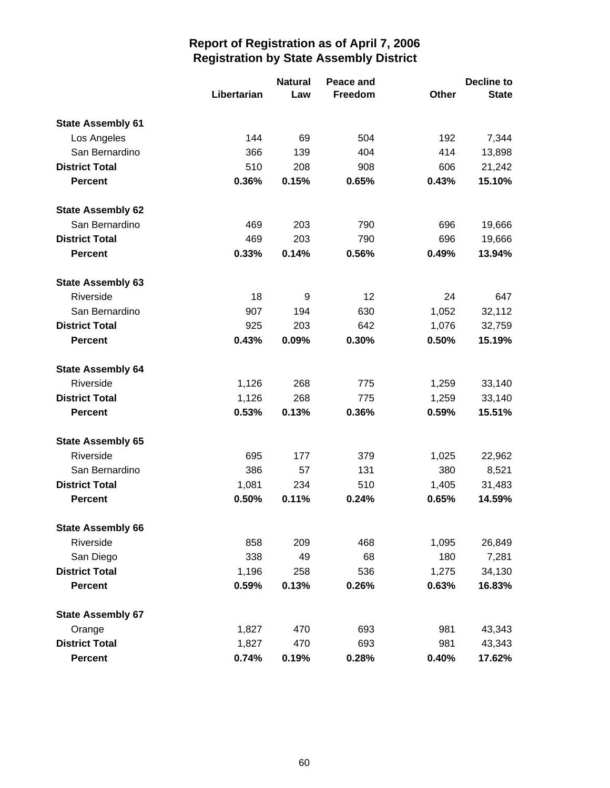|                          |             | <b>Natural</b> | Peace and |              | Decline to   |  |
|--------------------------|-------------|----------------|-----------|--------------|--------------|--|
|                          | Libertarian | Law            | Freedom   | <b>Other</b> | <b>State</b> |  |
| <b>State Assembly 61</b> |             |                |           |              |              |  |
| Los Angeles              | 144         | 69             | 504       | 192          | 7,344        |  |
| San Bernardino           | 366         | 139            | 404       | 414          | 13,898       |  |
| <b>District Total</b>    | 510         | 208            | 908       | 606          | 21,242       |  |
| <b>Percent</b>           | 0.36%       | 0.15%          | 0.65%     | 0.43%        | 15.10%       |  |
| <b>State Assembly 62</b> |             |                |           |              |              |  |
| San Bernardino           | 469         | 203            | 790       | 696          | 19,666       |  |
| <b>District Total</b>    | 469         | 203            | 790       | 696          | 19,666       |  |
| <b>Percent</b>           | 0.33%       | 0.14%          | 0.56%     | 0.49%        | 13.94%       |  |
| <b>State Assembly 63</b> |             |                |           |              |              |  |
| Riverside                | 18          | 9              | 12        | 24           | 647          |  |
| San Bernardino           | 907         | 194            | 630       | 1,052        | 32,112       |  |
| <b>District Total</b>    | 925         | 203            | 642       | 1,076        | 32,759       |  |
| <b>Percent</b>           | 0.43%       | 0.09%          | 0.30%     | 0.50%        | 15.19%       |  |
| <b>State Assembly 64</b> |             |                |           |              |              |  |
| Riverside                | 1,126       | 268            | 775       | 1,259        | 33,140       |  |
| <b>District Total</b>    | 1,126       | 268            | 775       | 1,259        | 33,140       |  |
| <b>Percent</b>           | 0.53%       | 0.13%          | 0.36%     | 0.59%        | 15.51%       |  |
| <b>State Assembly 65</b> |             |                |           |              |              |  |
| Riverside                | 695         | 177            | 379       | 1,025        | 22,962       |  |
| San Bernardino           | 386         | 57             | 131       | 380          | 8,521        |  |
| <b>District Total</b>    | 1,081       | 234            | 510       | 1,405        | 31,483       |  |
| <b>Percent</b>           | 0.50%       | 0.11%          | 0.24%     | 0.65%        | 14.59%       |  |
| <b>State Assembly 66</b> |             |                |           |              |              |  |
| Riverside                | 858         | 209            | 468       | 1,095        | 26,849       |  |
| San Diego                | 338         | 49             | 68        | 180          | 7,281        |  |
| <b>District Total</b>    | 1,196       | 258            | 536       | 1,275        | 34,130       |  |
| <b>Percent</b>           | 0.59%       | 0.13%          | 0.26%     | 0.63%        | 16.83%       |  |
| <b>State Assembly 67</b> |             |                |           |              |              |  |
| Orange                   | 1,827       | 470            | 693       | 981          | 43,343       |  |
| <b>District Total</b>    | 1,827       | 470            | 693       | 981          | 43,343       |  |
| <b>Percent</b>           | 0.74%       | 0.19%          | 0.28%     | 0.40%        | 17.62%       |  |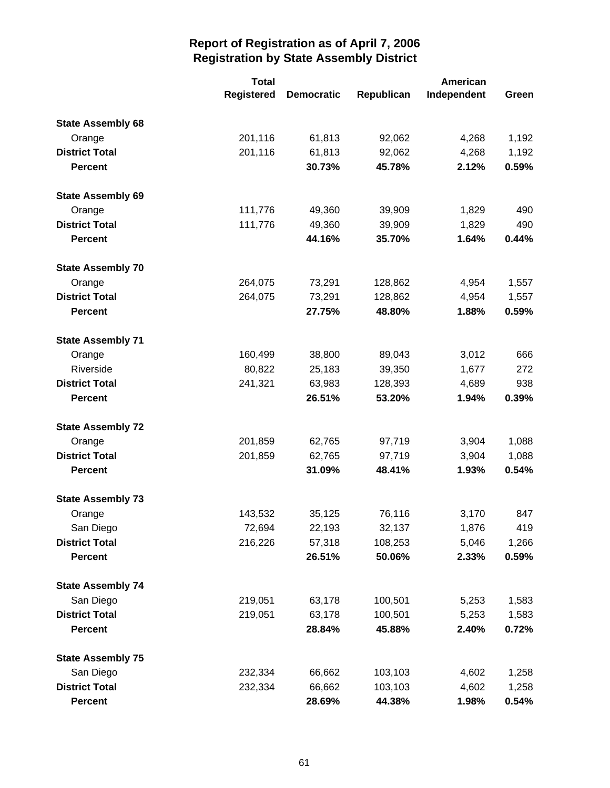|                          | <b>Total</b>      |                   | American   |             |       |
|--------------------------|-------------------|-------------------|------------|-------------|-------|
|                          | <b>Registered</b> | <b>Democratic</b> | Republican | Independent | Green |
| <b>State Assembly 68</b> |                   |                   |            |             |       |
| Orange                   | 201,116           | 61,813            | 92,062     | 4,268       | 1,192 |
| <b>District Total</b>    | 201,116           | 61,813            | 92,062     | 4,268       | 1,192 |
| <b>Percent</b>           |                   | 30.73%            | 45.78%     | 2.12%       | 0.59% |
| <b>State Assembly 69</b> |                   |                   |            |             |       |
| Orange                   | 111,776           | 49,360            | 39,909     | 1,829       | 490   |
| <b>District Total</b>    | 111,776           | 49,360            | 39,909     | 1,829       | 490   |
| <b>Percent</b>           |                   | 44.16%            | 35.70%     | 1.64%       | 0.44% |
| <b>State Assembly 70</b> |                   |                   |            |             |       |
| Orange                   | 264,075           | 73,291            | 128,862    | 4,954       | 1,557 |
| <b>District Total</b>    | 264,075           | 73,291            | 128,862    | 4,954       | 1,557 |
| <b>Percent</b>           |                   | 27.75%            | 48.80%     | 1.88%       | 0.59% |
| <b>State Assembly 71</b> |                   |                   |            |             |       |
| Orange                   | 160,499           | 38,800            | 89,043     | 3,012       | 666   |
| Riverside                | 80,822            | 25,183            | 39,350     | 1,677       | 272   |
| <b>District Total</b>    | 241,321           | 63,983            | 128,393    | 4,689       | 938   |
| <b>Percent</b>           |                   | 26.51%            | 53.20%     | 1.94%       | 0.39% |
| <b>State Assembly 72</b> |                   |                   |            |             |       |
| Orange                   | 201,859           | 62,765            | 97,719     | 3,904       | 1,088 |
| <b>District Total</b>    | 201,859           | 62,765            | 97,719     | 3,904       | 1,088 |
| <b>Percent</b>           |                   | 31.09%            | 48.41%     | 1.93%       | 0.54% |
| <b>State Assembly 73</b> |                   |                   |            |             |       |
| Orange                   | 143,532           | 35,125            | 76,116     | 3,170       | 847   |
| San Diego                | 72,694            | 22,193            | 32,137     | 1,876       | 419   |
| <b>District Total</b>    | 216,226           | 57,318            | 108,253    | 5,046       | 1,266 |
| <b>Percent</b>           |                   | 26.51%            | 50.06%     | 2.33%       | 0.59% |
| <b>State Assembly 74</b> |                   |                   |            |             |       |
| San Diego                | 219,051           | 63,178            | 100,501    | 5,253       | 1,583 |
| <b>District Total</b>    | 219,051           | 63,178            | 100,501    | 5,253       | 1,583 |
| <b>Percent</b>           |                   | 28.84%            | 45.88%     | 2.40%       | 0.72% |
| <b>State Assembly 75</b> |                   |                   |            |             |       |
| San Diego                | 232,334           | 66,662            | 103,103    | 4,602       | 1,258 |
| <b>District Total</b>    | 232,334           | 66,662            | 103,103    | 4,602       | 1,258 |
| <b>Percent</b>           |                   | 28.69%            | 44.38%     | 1.98%       | 0.54% |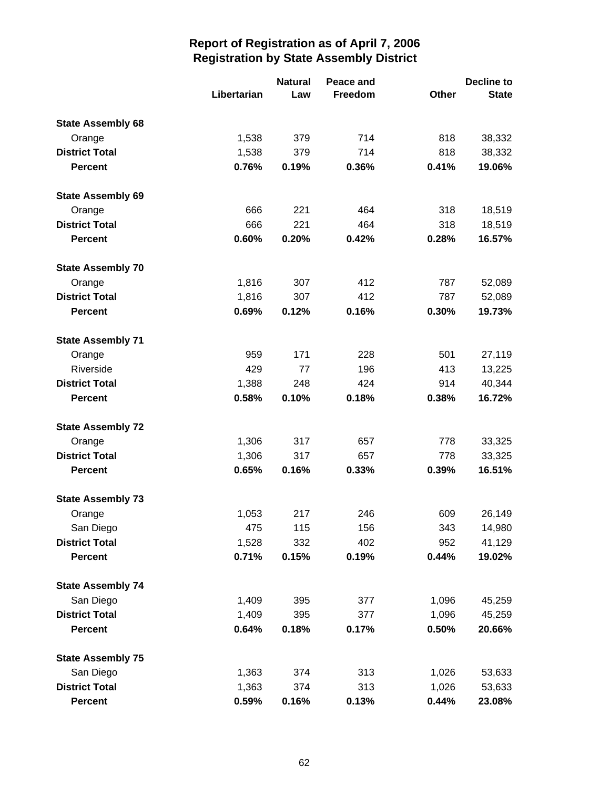|                          |             | <b>Natural</b> | Peace and |       | <b>Decline to</b> |
|--------------------------|-------------|----------------|-----------|-------|-------------------|
|                          | Libertarian | Law            | Freedom   | Other | <b>State</b>      |
| <b>State Assembly 68</b> |             |                |           |       |                   |
| Orange                   | 1,538       | 379            | 714       | 818   | 38,332            |
| <b>District Total</b>    | 1,538       | 379            | 714       | 818   | 38,332            |
| <b>Percent</b>           | 0.76%       | 0.19%          | 0.36%     | 0.41% | 19.06%            |
| <b>State Assembly 69</b> |             |                |           |       |                   |
| Orange                   | 666         | 221            | 464       | 318   | 18,519            |
| <b>District Total</b>    | 666         | 221            | 464       | 318   | 18,519            |
| <b>Percent</b>           | 0.60%       | 0.20%          | 0.42%     | 0.28% | 16.57%            |
| <b>State Assembly 70</b> |             |                |           |       |                   |
| Orange                   | 1,816       | 307            | 412       | 787   | 52,089            |
| <b>District Total</b>    | 1,816       | 307            | 412       | 787   | 52,089            |
| <b>Percent</b>           | 0.69%       | 0.12%          | 0.16%     | 0.30% | 19.73%            |
| <b>State Assembly 71</b> |             |                |           |       |                   |
| Orange                   | 959         | 171            | 228       | 501   | 27,119            |
| Riverside                | 429         | 77             | 196       | 413   | 13,225            |
| <b>District Total</b>    | 1,388       | 248            | 424       | 914   | 40,344            |
| <b>Percent</b>           | 0.58%       | 0.10%          | 0.18%     | 0.38% | 16.72%            |
| <b>State Assembly 72</b> |             |                |           |       |                   |
| Orange                   | 1,306       | 317            | 657       | 778   | 33,325            |
| <b>District Total</b>    | 1,306       | 317            | 657       | 778   | 33,325            |
| <b>Percent</b>           | 0.65%       | 0.16%          | 0.33%     | 0.39% | 16.51%            |
| <b>State Assembly 73</b> |             |                |           |       |                   |
| Orange                   | 1,053       | 217            | 246       | 609   | 26,149            |
| San Diego                | 475         | 115            | 156       | 343   | 14,980            |
| <b>District Total</b>    | 1,528       | 332            | 402       | 952   | 41,129            |
| <b>Percent</b>           | 0.71%       | 0.15%          | 0.19%     | 0.44% | 19.02%            |
| <b>State Assembly 74</b> |             |                |           |       |                   |
| San Diego                | 1,409       | 395            | 377       | 1,096 | 45,259            |
| <b>District Total</b>    | 1,409       | 395            | 377       | 1,096 | 45,259            |
| <b>Percent</b>           | 0.64%       | 0.18%          | 0.17%     | 0.50% | 20.66%            |
| <b>State Assembly 75</b> |             |                |           |       |                   |
| San Diego                | 1,363       | 374            | 313       | 1,026 | 53,633            |
| <b>District Total</b>    | 1,363       | 374            | 313       | 1,026 | 53,633            |
| <b>Percent</b>           | 0.59%       | 0.16%          | 0.13%     | 0.44% | 23.08%            |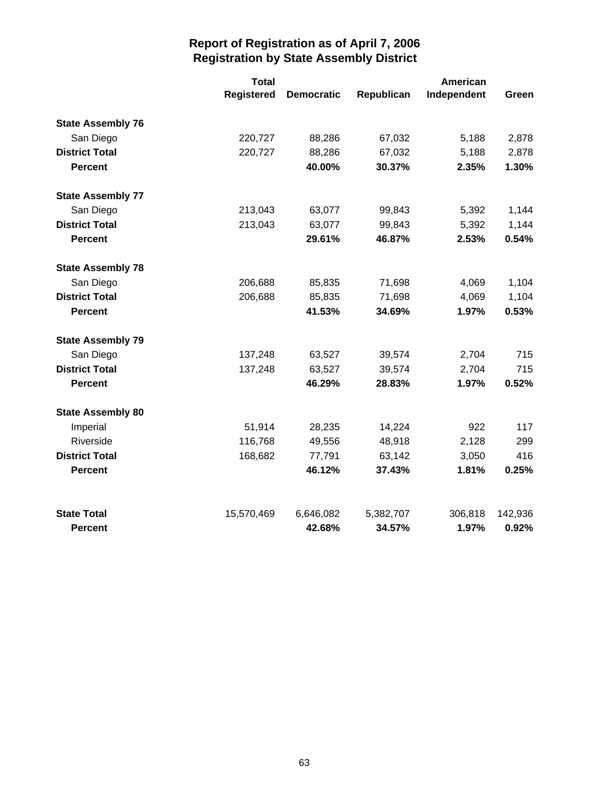|                          | <b>Total</b>      |                   |            | <b>American</b> |         |
|--------------------------|-------------------|-------------------|------------|-----------------|---------|
|                          | <b>Registered</b> | <b>Democratic</b> | Republican | Independent     | Green   |
| <b>State Assembly 76</b> |                   |                   |            |                 |         |
| San Diego                | 220,727           | 88,286            | 67,032     | 5,188           | 2,878   |
| <b>District Total</b>    | 220,727           | 88,286            | 67,032     | 5,188           | 2,878   |
| <b>Percent</b>           |                   | 40.00%            | 30.37%     | 2.35%           | 1.30%   |
| <b>State Assembly 77</b> |                   |                   |            |                 |         |
| San Diego                | 213,043           | 63,077            | 99,843     | 5,392           | 1,144   |
| <b>District Total</b>    | 213,043           | 63,077            | 99,843     | 5,392           | 1,144   |
| <b>Percent</b>           |                   | 29.61%            | 46.87%     | 2.53%           | 0.54%   |
| <b>State Assembly 78</b> |                   |                   |            |                 |         |
| San Diego                | 206,688           | 85,835            | 71,698     | 4,069           | 1,104   |
| <b>District Total</b>    | 206,688           | 85,835            | 71,698     | 4,069           | 1,104   |
| <b>Percent</b>           |                   | 41.53%            | 34.69%     | 1.97%           | 0.53%   |
| <b>State Assembly 79</b> |                   |                   |            |                 |         |
| San Diego                | 137,248           | 63,527            | 39,574     | 2,704           | 715     |
| <b>District Total</b>    | 137,248           | 63,527            | 39,574     | 2,704           | 715     |
| <b>Percent</b>           |                   | 46.29%            | 28.83%     | 1.97%           | 0.52%   |
| <b>State Assembly 80</b> |                   |                   |            |                 |         |
| Imperial                 | 51,914            | 28,235            | 14,224     | 922             | 117     |
| Riverside                | 116,768           | 49,556            | 48,918     | 2,128           | 299     |
| <b>District Total</b>    | 168,682           | 77,791            | 63,142     | 3,050           | 416     |
| <b>Percent</b>           |                   | 46.12%            | 37.43%     | 1.81%           | 0.25%   |
| <b>State Total</b>       | 15,570,469        | 6,646,082         | 5,382,707  | 306,818         | 142,936 |
| <b>Percent</b>           |                   | 42.68%            | 34.57%     | 1.97%           | 0.92%   |